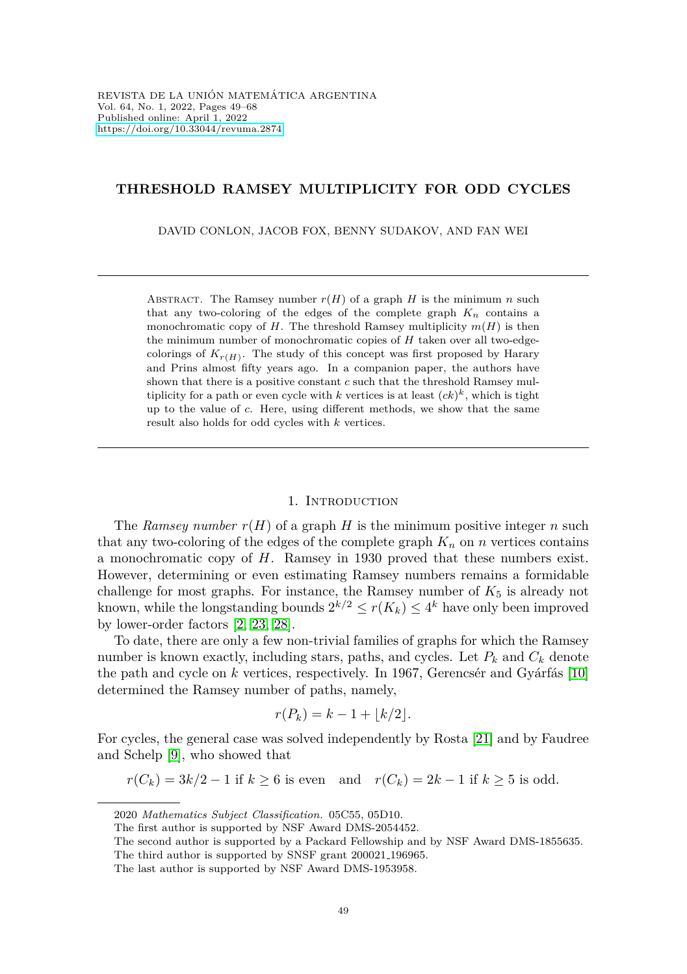## **THRESHOLD RAMSEY MULTIPLICITY FOR ODD CYCLES**

DAVID CONLON, JACOB FOX, BENNY SUDAKOV, AND FAN WEI

ABSTRACT. The Ramsey number  $r(H)$  of a graph *H* is the minimum *n* such that any two-coloring of the edges of the complete graph  $K_n$  contains a monochromatic copy of *H*. The threshold Ramsey multiplicity  $m(H)$  is then the minimum number of monochromatic copies of *H* taken over all two-edgecolorings of  $K_{r(H)}$ . The study of this concept was first proposed by Harary and Prins almost fifty years ago. In a companion paper, the authors have shown that there is a positive constant *c* such that the threshold Ramsey multiplicity for a path or even cycle with  $k$  vertices is at least  $(ck)^k$ , which is tight up to the value of *c*. Here, using different methods, we show that the same result also holds for odd cycles with *k* vertices.

## 1. INTRODUCTION

The *Ramsey number*  $r(H)$  of a graph *H* is the minimum positive integer *n* such that any two-coloring of the edges of the complete graph  $K_n$  on *n* vertices contains a monochromatic copy of *H*. Ramsey in 1930 proved that these numbers exist. However, determining or even estimating Ramsey numbers remains a formidable challenge for most graphs. For instance, the Ramsey number of  $K_5$  is already not known, while the longstanding bounds  $2^{k/2} \le r(K_k) \le 4^k$  have only been improved by lower-order factors [\[2,](#page-18-0) [23,](#page-19-0) [28\]](#page-19-1).

To date, there are only a few non-trivial families of graphs for which the Ramsey number is known exactly, including stars, paths, and cycles. Let  $P_k$  and  $C_k$  denote the path and cycle on  $k$  vertices, respectively. In 1967, Gerencs' and Gyárfás  $[10]$ determined the Ramsey number of paths, namely,

$$
r(P_k) = k - 1 + \lfloor k/2 \rfloor.
$$

For cycles, the general case was solved independently by Rosta [\[21\]](#page-19-2) and by Faudree and Schelp [\[9\]](#page-18-2), who showed that

$$
r(C_k) = 3k/2 - 1
$$
 if  $k \ge 6$  is even and  $r(C_k) = 2k - 1$  if  $k \ge 5$  is odd.

<sup>2020</sup> *Mathematics Subject Classification.* 05C55, 05D10.

The first author is supported by NSF Award DMS-2054452.

The second author is supported by a Packard Fellowship and by NSF Award DMS-1855635.

The third author is supported by SNSF grant 200021 196965.

The last author is supported by NSF Award DMS-1953958.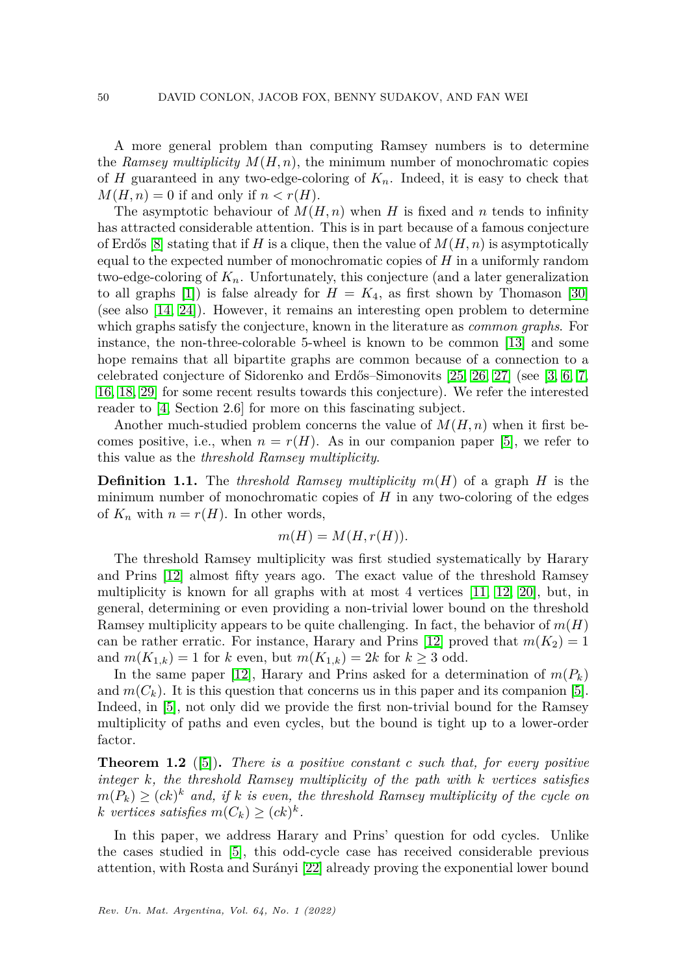A more general problem than computing Ramsey numbers is to determine the *Ramsey multiplicity*  $M(H, n)$ , the minimum number of monochromatic copies of *H* guaranteed in any two-edge-coloring of  $K_n$ . Indeed, it is easy to check that  $M(H, n) = 0$  if and only if  $n < r(H)$ .

The asymptotic behaviour of  $M(H, n)$  when *H* is fixed and *n* tends to infinity has attracted considerable attention. This is in part because of a famous conjecture of Erdős [\[8\]](#page-18-3) stating that if *H* is a clique, then the value of  $M(H, n)$  is asymptotically equal to the expected number of monochromatic copies of *H* in a uniformly random two-edge-coloring of *Kn*. Unfortunately, this conjecture (and a later generalization to all graphs [\[1\]](#page-18-4)) is false already for  $H = K_4$ , as first shown by Thomason [\[30\]](#page-19-3) (see also [\[14,](#page-18-5) [24\]](#page-19-4)). However, it remains an interesting open problem to determine which graphs satisfy the conjecture, known in the literature as *common graphs*. For instance, the non-three-colorable 5-wheel is known to be common [\[13\]](#page-18-6) and some hope remains that all bipartite graphs are common because of a connection to a celebrated conjecture of Sidorenko and Erd˝os–Simonovits [\[25,](#page-19-5) [26,](#page-19-6) [27\]](#page-19-7) (see [\[3,](#page-18-7) [6,](#page-18-8) [7,](#page-18-9) [16,](#page-18-10) [18,](#page-19-8) [29\]](#page-19-9) for some recent results towards this conjecture). We refer the interested reader to [\[4,](#page-18-11) Section 2.6] for more on this fascinating subject.

Another much-studied problem concerns the value of *M*(*H, n*) when it first becomes positive, i.e., when  $n = r(H)$ . As in our companion paper [\[5\]](#page-18-12), we refer to this value as the *threshold Ramsey multiplicity*.

**Definition 1.1.** The *threshold Ramsey multiplicity m*(*H*) of a graph *H* is the minimum number of monochromatic copies of *H* in any two-coloring of the edges of  $K_n$  with  $n = r(H)$ . In other words,

$$
m(H) = M(H, r(H)).
$$

The threshold Ramsey multiplicity was first studied systematically by Harary and Prins [\[12\]](#page-18-13) almost fifty years ago. The exact value of the threshold Ramsey multiplicity is known for all graphs with at most 4 vertices [\[11,](#page-18-14) [12,](#page-18-13) [20\]](#page-19-10), but, in general, determining or even providing a non-trivial lower bound on the threshold Ramsey multiplicity appears to be quite challenging. In fact, the behavior of  $m(H)$ can be rather erratic. For instance, Harary and Prins [\[12\]](#page-18-13) proved that  $m(K_2) = 1$ and  $m(K_{1,k}) = 1$  for *k* even, but  $m(K_{1,k}) = 2k$  for  $k \ge 3$  odd.

In the same paper [\[12\]](#page-18-13), Harary and Prins asked for a determination of  $m(P_k)$ and  $m(C_k)$ . It is this question that concerns us in this paper and its companion [\[5\]](#page-18-12). Indeed, in [\[5\]](#page-18-12), not only did we provide the first non-trivial bound for the Ramsey multiplicity of paths and even cycles, but the bound is tight up to a lower-order factor.

<span id="page-1-0"></span>**Theorem 1.2** ([\[5\]](#page-18-12))**.** *There is a positive constant c such that, for every positive integer k, the threshold Ramsey multiplicity of the path with k vertices satisfies*  $m(P_k) \geq (ck)^k$  *and, if k is even, the threshold Ramsey multiplicity of the cycle on*  $k$  *vertices satisfies*  $m(C_k) \geq (ck)^k$ .

In this paper, we address Harary and Prins' question for odd cycles. Unlike the cases studied in [\[5\]](#page-18-12), this odd-cycle case has received considerable previous attention, with Rosta and Surányi [\[22\]](#page-19-11) already proving the exponential lower bound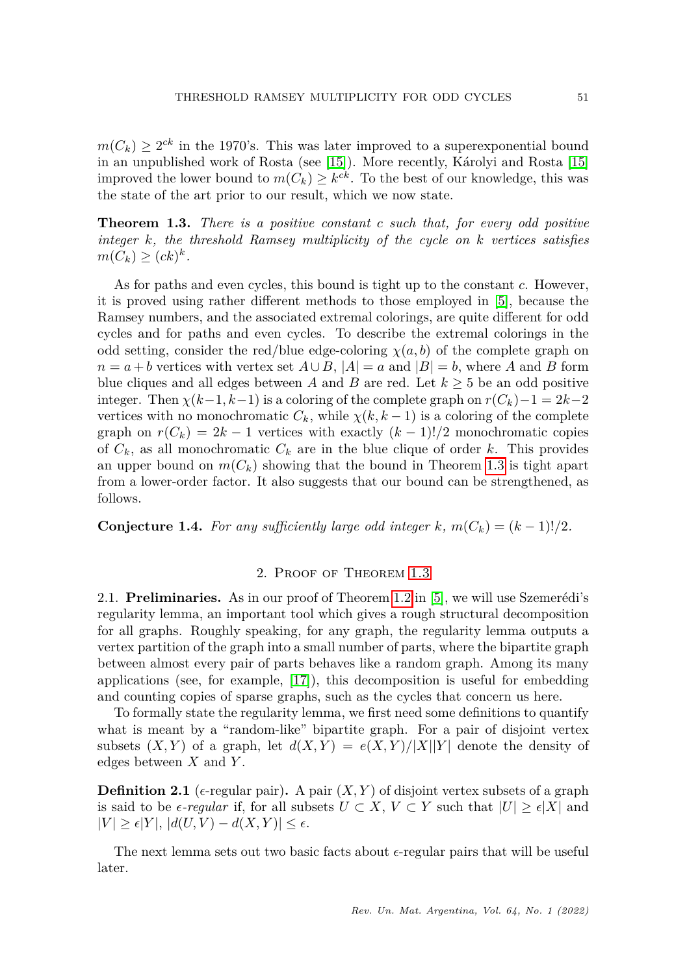$m(C_k) \geq 2^{ck}$  in the 1970's. This was later improved to a superexponential bound in an unpublished work of Rosta (see [\[15\]](#page-18-15)). More recently, Károlyi and Rosta [15] improved the lower bound to  $m(C_k) \geq k^{ck}$ . To the best of our knowledge, this was the state of the art prior to our result, which we now state.

<span id="page-2-0"></span>**Theorem 1.3.** *There is a positive constant c such that, for every odd positive integer k, the threshold Ramsey multiplicity of the cycle on k vertices satisfies*  $m(C_k) \geq (ck)^k$ .

As for paths and even cycles, this bound is tight up to the constant *c*. However, it is proved using rather different methods to those employed in [\[5\]](#page-18-12), because the Ramsey numbers, and the associated extremal colorings, are quite different for odd cycles and for paths and even cycles. To describe the extremal colorings in the odd setting, consider the red/blue edge-coloring  $\chi(a, b)$  of the complete graph on  $n = a + b$  vertices with vertex set  $A \cup B$ ,  $|A| = a$  and  $|B| = b$ , where *A* and *B* form blue cliques and all edges between *A* and *B* are red. Let  $k \geq 5$  be an odd positive integer. Then  $\chi(k-1, k-1)$  is a coloring of the complete graph on  $r(C_k)-1=2k-2$ vertices with no monochromatic  $C_k$ , while  $\chi(k, k-1)$  is a coloring of the complete graph on  $r(C_k) = 2k - 1$  vertices with exactly  $(k-1)!/2$  monochromatic copies of  $C_k$ , as all monochromatic  $C_k$  are in the blue clique of order k. This provides an upper bound on  $m(C_k)$  showing that the bound in Theorem [1.3](#page-2-0) is tight apart from a lower-order factor. It also suggests that our bound can be strengthened, as follows.

<span id="page-2-1"></span>**Conjecture 1.4.** For any sufficiently large odd integer  $k$ ,  $m(C_k) = (k-1)!/2$ .

## 2. Proof of Theorem [1.3](#page-2-0)

2.1. **Preliminaries.** As in our proof of Theorem [1.2](#page-1-0) in [\[5\]](#page-18-12), we will use Szemerédi's regularity lemma, an important tool which gives a rough structural decomposition for all graphs. Roughly speaking, for any graph, the regularity lemma outputs a vertex partition of the graph into a small number of parts, where the bipartite graph between almost every pair of parts behaves like a random graph. Among its many applications (see, for example, [\[17\]](#page-19-12)), this decomposition is useful for embedding and counting copies of sparse graphs, such as the cycles that concern us here.

To formally state the regularity lemma, we first need some definitions to quantify what is meant by a "random-like" bipartite graph. For a pair of disjoint vertex subsets  $(X, Y)$  of a graph, let  $d(X, Y) = e(X, Y)/|X||Y|$  denote the density of edges between *X* and *Y* .

**Definition 2.1** ( $\epsilon$ -regular pair). A pair  $(X, Y)$  of disjoint vertex subsets of a graph is said to be  $\epsilon$ -regular if, for all subsets  $U \subset X$ ,  $V \subset Y$  such that  $|U| \geq \epsilon |X|$  and  $|V| \geq \epsilon |Y|, |d(U, V) - d(X, Y)| \leq \epsilon.$ 

The next lemma sets out two basic facts about  $\epsilon$ -regular pairs that will be useful later.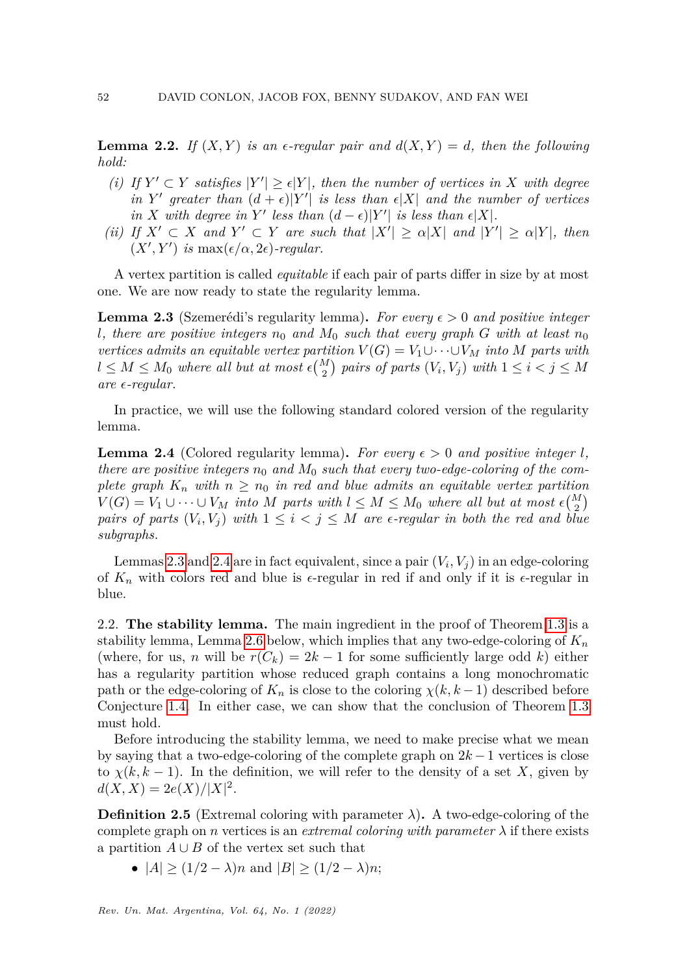<span id="page-3-2"></span>**Lemma 2.2.** If  $(X, Y)$  is an  $\epsilon$ -regular pair and  $d(X, Y) = d$ , then the following *hold:*

- (*i*) If  $Y' \subset Y$  *satisfies*  $|Y'| \ge \epsilon |Y|$ *, then the number of vertices in* X *with degree* in *Y*' greater than  $(d + \epsilon)|Y'|$  is less than  $\epsilon|X|$  and the number of vertices *in X* with degree in *Y*' less than  $(d - \epsilon)|Y'|$  is less than  $\epsilon|X|$ .
- *(ii) If*  $X' \subset X$  *and*  $Y' \subset Y$  *are such that*  $|X'| \ge \alpha |X|$  *and*  $|Y'| \ge \alpha |Y|$ *, then*  $(X', Y')$  *is* max $(\epsilon/\alpha, 2\epsilon)$ *-regular.*

A vertex partition is called *equitable* if each pair of parts differ in size by at most one. We are now ready to state the regularity lemma.

<span id="page-3-0"></span>**Lemma 2.3** (Szemerédi's regularity lemma). For every  $\epsilon > 0$  and positive integer *l*, there are positive integers  $n_0$  and  $M_0$  such that every graph *G* with at least  $n_0$ *vertices admits an equitable vertex partition*  $V(G) = V_1 \cup \cdots \cup V_M$  *into M* parts with  $l \leq M \leq M_0$  where all but at most  $\epsilon {M \choose 2}$  pairs of parts  $(V_i, V_j)$  with  $1 \leq i < j \leq M$ *are -regular.*

In practice, we will use the following standard colored version of the regularity lemma.

<span id="page-3-1"></span>**Lemma 2.4** (Colored regularity lemma). For every  $\epsilon > 0$  and positive integer *l*, *there are positive integers*  $n_0$  *and*  $M_0$  *such that every two-edge-coloring of the complete graph*  $K_n$  *with*  $n \geq n_0$  *in red and blue admits an equitable vertex partition*  $V(G) = V_1 \cup \cdots \cup V_M$  *into M parts with*  $l \leq M \leq M_0$  *where all but at most*  $\epsilon {M \choose 2}$ *pairs of parts*  $(V_i, V_j)$  *with*  $1 \leq i < j \leq M$  *are*  $\epsilon$ -regular *in both the red and blue subgraphs.*

Lemmas [2.3](#page-3-0) and [2.4](#page-3-1) are in fact equivalent, since a pair  $(V_i, V_j)$  in an edge-coloring of  $K_n$  with colors red and blue is  $\epsilon$ -regular in red if and only if it is  $\epsilon$ -regular in blue.

2.2. **The stability lemma.** The main ingredient in the proof of Theorem [1.3](#page-2-0) is a stability lemma, Lemma [2.6](#page-4-0) below, which implies that any two-edge-coloring of *K<sup>n</sup>* (where, for us, *n* will be  $r(C_k) = 2k - 1$  for some sufficiently large odd *k*) either has a regularity partition whose reduced graph contains a long monochromatic path or the edge-coloring of  $K_n$  is close to the coloring  $\chi(k, k-1)$  described before Conjecture [1.4.](#page-2-1) In either case, we can show that the conclusion of Theorem [1.3](#page-2-0) must hold.

Before introducing the stability lemma, we need to make precise what we mean by saying that a two-edge-coloring of the complete graph on 2*k* −1 vertices is close to  $\chi(k, k-1)$ . In the definition, we will refer to the density of a set X, given by  $d(X, X) = 2e(X)/|X|^2$ .

**Definition 2.5** (Extremal coloring with parameter  $\lambda$ ). A two-edge-coloring of the complete graph on *n* vertices is an *extremal coloring with parameter*  $\lambda$  if there exists a partition  $A \cup B$  of the vertex set such that

•  $|A| \ge (1/2 - \lambda)n$  and  $|B| \ge (1/2 - \lambda)n$ ;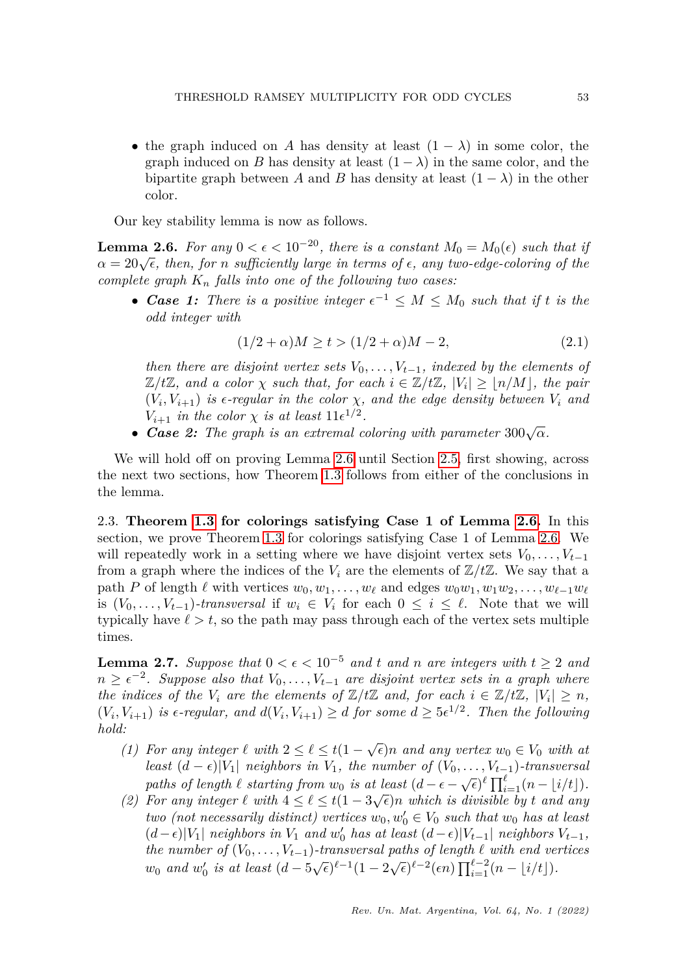• the graph induced on *A* has density at least  $(1 - \lambda)$  in some color, the graph induced on *B* has density at least  $(1 - \lambda)$  in the same color, and the bipartite graph between *A* and *B* has density at least  $(1 - \lambda)$  in the other color.

Our key stability lemma is now as follows.

<span id="page-4-0"></span>**Lemma 2.6.** *For any*  $0 < \epsilon < 10^{-20}$ *, there is a constant*  $M_0 = M_0(\epsilon)$  *such that if α* = 20√*ε*, *then, for n sufficiently large in terms of*  $\epsilon$ *, any two-edge-coloring of the complete graph K<sup>n</sup> falls into one of the following two cases:*

• *Case 1: There is a positive integer*  $\epsilon^{-1} \leq M \leq M_0$  *such that if t is the odd integer with*

<span id="page-4-2"></span>
$$
(1/2 + \alpha)M \ge t > (1/2 + \alpha)M - 2,
$$
\n(2.1)

*then there are disjoint vertex sets*  $V_0, \ldots, V_{t-1}$ *, indexed by the elements of*  $\mathbb{Z}/t\mathbb{Z}$ *, and a color*  $\chi$  *such that, for each*  $i \in \mathbb{Z}/t\mathbb{Z}$ *,*  $|V_i| \geq \lfloor n/M \rfloor$ *, the pair*  $(V_i, V_{i+1})$  *is*  $\epsilon$ -regular *in the color*  $\chi$ *, and the edge density between*  $V_i$  *and*  $V_{i+1}$  *in the color*  $\chi$  *is at least*  $11\epsilon^{1/2}$ *.* 

• *Case 2: The graph is an extremal coloring with parameter*  $300\sqrt{\alpha}$ *.* 

We will hold off on proving Lemma [2.6](#page-4-0) until Section [2.5,](#page-15-0) first showing, across the next two sections, how Theorem [1.3](#page-2-0) follows from either of the conclusions in the lemma.

2.3. **Theorem [1.3](#page-2-0) for colorings satisfying Case 1 of Lemma [2.6.](#page-4-0)** In this section, we prove Theorem [1.3](#page-2-0) for colorings satisfying Case 1 of Lemma [2.6.](#page-4-0) We will repeatedly work in a setting where we have disjoint vertex sets  $V_0, \ldots, V_{t-1}$ from a graph where the indices of the  $V_i$  are the elements of  $\mathbb{Z}/t\mathbb{Z}$ . We say that a path *P* of length  $\ell$  with vertices  $w_0, w_1, \ldots, w_\ell$  and edges  $w_0w_1, w_1w_2, \ldots, w_{\ell-1}w_\ell$ is  $(V_0, \ldots, V_{t-1})$ *-transversal* if  $w_i \in V_i$  for each  $0 \leq i \leq \ell$ . Note that we will typically have  $\ell > t$ , so the path may pass through each of the vertex sets multiple times.

<span id="page-4-1"></span>**Lemma 2.7.** *Suppose that*  $0 < \epsilon < 10^{-5}$  *and t and n are integers with*  $t \geq 2$  *and*  $n \geq \epsilon^{-2}$ . Suppose also that  $V_0, \ldots, V_{t-1}$  are disjoint vertex sets in a graph where *the indices of the*  $V_i$  *are the elements of*  $\mathbb{Z}/t\mathbb{Z}$  *and, for each*  $i \in \mathbb{Z}/t\mathbb{Z}$ ,  $|V_i| \geq n$ ,  $(V_i, V_{i+1})$  *is*  $\epsilon$ -regular, and  $d(V_i, V_{i+1}) \geq d$  for some  $d \geq 5\epsilon^{1/2}$ . Then the following *hold:*

- *(1)* For any integer  $\ell$  with  $2 \leq \ell \leq t(1 \sqrt{\epsilon})n$  and any vertex  $w_0 \in V_0$  with at *least*  $(d - \epsilon)|V_1|$  *neighbors in*  $V_1$ *, the number of*  $(V_0, \ldots, V_{t-1})$ *-transversal paths of length*  $\ell$  *starting from*  $w_0$  *is at least*  $(d - \epsilon - \sqrt{\epsilon})^{\ell} \prod_{i=1}^{\ell} (n - \lfloor i/t \rfloor)$ .
- (2) For any integer  $\ell$  with  $4 \leq \ell \leq t(1-3\sqrt{\epsilon})n$  which is divisible by  $t$  and any  $two$  (not necessarily distinct) vertices  $w_0, w'_0 \in V_0$  such that  $w_0$  has at least  $(d - \epsilon)|V_1|$  *neighbors in*  $V_1$  *and*  $w'_0$  *has at least*  $(d - \epsilon)|V_{t-1}|$  *neighbors*  $V_{t-1}$ *, the number of*  $(V_0, \ldots, V_{t-1})$ *-transversal paths of length*  $\ell$  *with end vertices w*<sub>0</sub> *and w*<sup>'</sup><sub>0</sub> *is at least*  $(d - 5\sqrt{\epsilon})^{\ell-1}(1 - 2\sqrt{\epsilon})^{\ell-2}(\epsilon n) \prod_{i=1}^{\ell-2} (n - \lfloor i/t \rfloor)$ .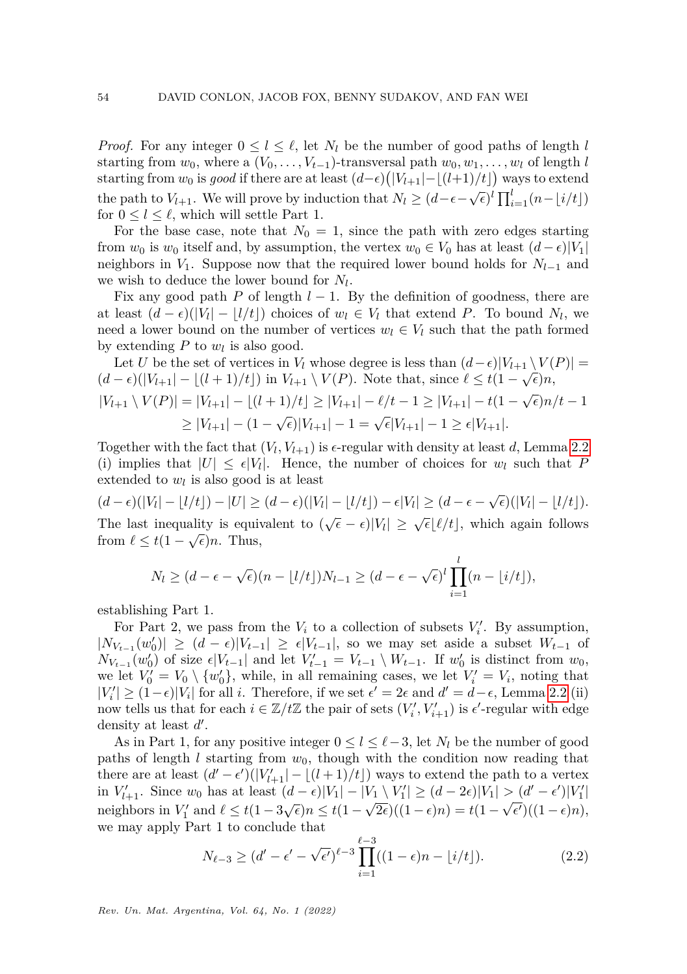*Proof.* For any integer  $0 \leq l \leq \ell$ , let  $N_l$  be the number of good paths of length *l* starting from  $w_0$ , where a  $(V_0, \ldots, V_{t-1})$ -transversal path  $w_0, w_1, \ldots, w_l$  of length *l* starting from  $w_0$  is *good* if there are at least  $(d-\epsilon)(|V_{l+1}| - \lfloor (l+1)/t \rfloor)$  ways to extend the path to *V*<sub>*l*+1</sub>. We will prove by induction that  $N_l \geq (d-\epsilon-\sqrt{\epsilon})^l \prod_{i=1}^l (n-\lfloor i/t \rfloor)$ for  $0 \leq l \leq \ell$ , which will settle Part 1.

For the base case, note that  $N_0 = 1$ , since the path with zero edges starting from  $w_0$  is  $w_0$  itself and, by assumption, the vertex  $w_0 \in V_0$  has at least  $(d - \epsilon)|V_1|$ neighbors in  $V_1$ . Suppose now that the required lower bound holds for  $N_{l-1}$  and we wish to deduce the lower bound for *N<sup>l</sup>* .

Fix any good path *P* of length  $l-1$ . By the definition of goodness, there are at least  $(d - \epsilon)(|V_l| - |l/t|)$  choices of  $w_l \in V_l$  that extend *P*. To bound  $N_l$ , we need a lower bound on the number of vertices  $w_l \in V_l$  such that the path formed by extending  $P$  to  $w_l$  is also good.

Let *U* be the set of vertices in  $V_l$  whose degree is less than  $(d-\epsilon)|V_{l+1} \setminus V(P)| =$  $(d - \epsilon)(|V_{l+1}| - \lfloor (l+1)/t \rfloor)$  in  $V_{l+1} \setminus V(P)$ . Note that, since  $\ell \leq t(1 - \sqrt{\epsilon})n$ ,  $|V_{l+1} \setminus V(P)| = |V_{l+1}| - \lfloor (l+1)/t \rfloor \ge |V_{l+1}| - \ell/t - 1 \ge |V_{l+1}| - t(1 - \sqrt{\epsilon})n/t - 1$  $\geq |V_{l+1}| - (1 - \sqrt{\epsilon})|V_{l+1}| - 1 = \sqrt{\epsilon}|V_{l+1}| - 1 \geq \epsilon|V_{l+1}|.$ 

Together with the fact that  $(V_l, V_{l+1})$  is  $\epsilon$ -regular with density at least *d*, Lemma [2.2](#page-3-2) (i) implies that  $|U| \leq \epsilon |V_i|$ . Hence, the number of choices for  $w_i$  such that *P* extended to  $w_l$  is also good is at least

 $(d - \epsilon)(|V_l| - |l/t|) - |U| \ge (d - \epsilon)(|V_l| - |l/t|) - \epsilon |V_l| \ge (d - \epsilon - \sqrt{\epsilon})(|V_l| - |l/t|).$ The last inequality is equivalent to  $(\sqrt{\epsilon} - \epsilon)|V_l| \geq \sqrt{\epsilon} \lfloor \ell/t \rfloor$ , which again follows from  $\ell \leq t(1-\sqrt{\epsilon})n$ . Thus,

$$
N_l \ge (d - \epsilon - \sqrt{\epsilon})(n - \lfloor l/t \rfloor)N_{l-1} \ge (d - \epsilon - \sqrt{\epsilon})^l \prod_{i=1}^l (n - \lfloor i/t \rfloor),
$$

establishing Part 1.

For Part 2, we pass from the  $V_i$  to a collection of subsets  $V'_i$ . By assumption,  $|N_{V_{t-1}}(w'_0)| \geq (d - \epsilon)|V_{t-1}| \geq \epsilon |V_{t-1}|$ , so we may set aside a subset  $W_{t-1}$  of  $N_{V_{t-1}}(w'_0)$  of size  $\epsilon |V_{t-1}|$  and let  $V'_{t-1} = V_{t-1} \setminus W_{t-1}$ . If  $w'_0$  is distinct from  $w_0$ , we let  $V'_0 = V_0 \setminus \{w'_0\}$ , while, in all remaining cases, we let  $V'_i = V_i$ , noting that  $|V'_i|$  ≥ (1- $\epsilon$ )| $V_i$ | for all *i*. Therefore, if we set  $\epsilon' = 2\epsilon$  and  $d' = d - \epsilon$ , Lemma [2.2](#page-3-2) (ii) now tells us that for each  $i \in \mathbb{Z}/t\mathbb{Z}$  the pair of sets  $(V'_i, V'_{i+1})$  is  $\epsilon'$ -regular with edge density at least  $d'$ .

As in Part 1, for any positive integer  $0 \leq l \leq \ell-3$ , let  $N_l$  be the number of good paths of length *l* starting from  $w_0$ , though with the condition now reading that there are at least  $(d' - \epsilon')(|V'_{l+1}| - \lfloor (l+1)/t \rfloor)$  ways to extend the path to a vertex  $\inf V'_{l+1}$ . Since  $w_0$  has at least  $(d - \epsilon)|V_1| - |V_1 \setminus V'_1| \geq (d - 2\epsilon)|V_1| > (d' - \epsilon')|V'_1|$ neighbors in  $V'_1$  and  $\ell \leq t(1-3\sqrt{\epsilon})n \leq t(1-$ √  $\overline{2\epsilon}\left((1-\epsilon)n\right) = t(1-\sqrt{\epsilon'})((1-\epsilon)n),$ we may apply Part 1 to conclude that

<span id="page-5-0"></span>
$$
N_{\ell-3} \ge (d' - \epsilon' - \sqrt{\epsilon'})^{\ell-3} \prod_{i=1}^{\ell-3} ((1 - \epsilon)n - \lfloor i/t \rfloor). \tag{2.2}
$$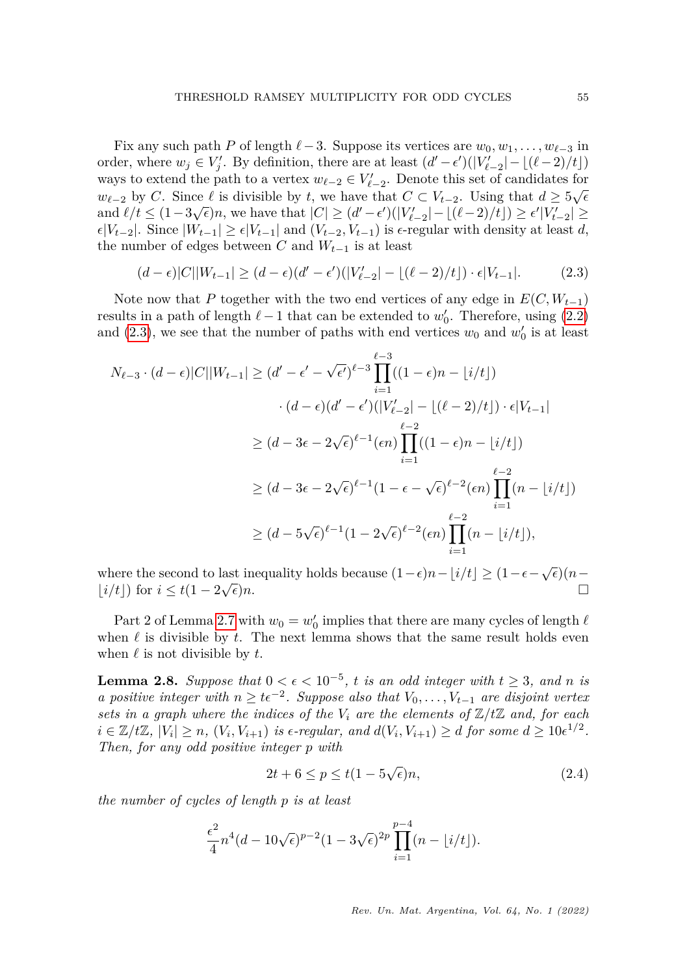Fix any such path *P* of length  $\ell$  −3. Suppose its vertices are  $w_0, w_1, \ldots, w_{\ell-3}$  in order, where  $w_j \in V'_j$ . By definition, there are at least  $(d' - \epsilon')(|V'_{\ell-2}| - \lfloor (\ell-2)/t \rfloor)$ ways to extend the path to a vertex  $w_{\ell-2} \in V'_{\ell-2}$ . Denote this set of candidates for  $w_{\ell-2}$  by *C*. Since  $\ell$  is divisible by *t*, we have that  $C \subset V_{t-2}$ . Using that  $d \geq 5\sqrt{\epsilon}$ and  $\ell/t \leq (1-3\sqrt{\epsilon})n$ , we have that  $|C| \geq (d'-\epsilon')(|V'_{\ell-2}| - \lfloor (\ell-2)/t \rfloor) \geq \epsilon' |V'_{t-2}|$  ≥  $\epsilon |V_{t-2}|$ . Since  $|W_{t-1}| \geq \epsilon |V_{t-1}|$  and  $(V_{t-2}, V_{t-1})$  is  $\epsilon$ -regular with density at least *d*, the number of edges between *C* and  $W_{t-1}$  is at least

<span id="page-6-0"></span>
$$
(d - \epsilon)|C||W_{t-1}| \ge (d - \epsilon)(d' - \epsilon')(|V'_{t-2}| - \lfloor (\ell - 2)/t \rfloor) \cdot \epsilon|V_{t-1}|.
$$
 (2.3)

Note now that *P* together with the two end vertices of any edge in  $E(C, W_{t-1})$ results in a path of length  $\ell - 1$  that can be extended to  $w_0'$ . Therefore, using  $(2.2)$ and [\(2.3\)](#page-6-0), we see that the number of paths with end vertices  $w_0$  and  $w'_0$  is at least

$$
N_{\ell-3} \cdot (d - \epsilon)|C||W_{t-1}| \ge (d' - \epsilon' - \sqrt{\epsilon'})^{\ell-3} \prod_{i=1}^{\ell-3} ((1 - \epsilon)n - \lfloor i/t \rfloor)
$$
  

$$
\cdot (d - \epsilon)(d' - \epsilon')(|V'_{t-2}| - \lfloor (\ell-2)/t \rfloor) \cdot \epsilon |V_{t-1}|
$$
  

$$
\ge (d - 3\epsilon - 2\sqrt{\epsilon})^{\ell-1} (\epsilon n) \prod_{i=1}^{\ell-2} ((1 - \epsilon)n - \lfloor i/t \rfloor)
$$
  

$$
\ge (d - 3\epsilon - 2\sqrt{\epsilon})^{\ell-1} (1 - \epsilon - \sqrt{\epsilon})^{\ell-2} (\epsilon n) \prod_{i=1}^{\ell-2} (n - \lfloor i/t \rfloor)
$$
  

$$
\ge (d - 5\sqrt{\epsilon})^{\ell-1} (1 - 2\sqrt{\epsilon})^{\ell-2} (\epsilon n) \prod_{i=1}^{\ell-2} (n - \lfloor i/t \rfloor),
$$

where the second to last inequality holds because  $(1-\epsilon)n - \lfloor i/t \rfloor \ge (1-\epsilon-\sqrt{\epsilon})(n-\frac{1}{\epsilon})$  $|i/t|$ ) for  $i \leq t(1-2\sqrt{\epsilon})n$ .  $\overline{\epsilon}$ )*n*.

Part 2 of Lemma [2.7](#page-4-1) with  $w_0 = w'_0$  implies that there are many cycles of length  $\ell$ when  $\ell$  is divisible by  $t$ . The next lemma shows that the same result holds even when  $\ell$  is not divisible by  $t$ .

<span id="page-6-1"></span>**Lemma 2.8.** Suppose that  $0 < \epsilon < 10^{-5}$ , t is an odd integer with  $t \geq 3$ , and n is *a* positive integer with  $n \geq t \epsilon^{-2}$ . Suppose also that  $V_0, \ldots, V_{t-1}$  are disjoint vertex *sets in a graph where the indices of the*  $V_i$  *are the elements of*  $\mathbb{Z}/t\mathbb{Z}$  *and, for each*  $i \in \mathbb{Z}/t\mathbb{Z}$ ,  $|V_i| \geq n$ ,  $(V_i, V_{i+1})$  is  $\epsilon$ -regular, and  $d(V_i, V_{i+1}) \geq d$  for some  $d \geq 10\epsilon^{1/2}$ . *Then, for any odd positive integer p with*

<span id="page-6-2"></span>
$$
2t + 6 \le p \le t(1 - 5\sqrt{\epsilon})n,\tag{2.4}
$$

*the number of cycles of length p is at least*

$$
\frac{\epsilon^2}{4}n^4(d-10\sqrt{\epsilon})^{p-2}(1-3\sqrt{\epsilon})^{2p}\prod_{i=1}^{p-4}(n-\lfloor i/t\rfloor).
$$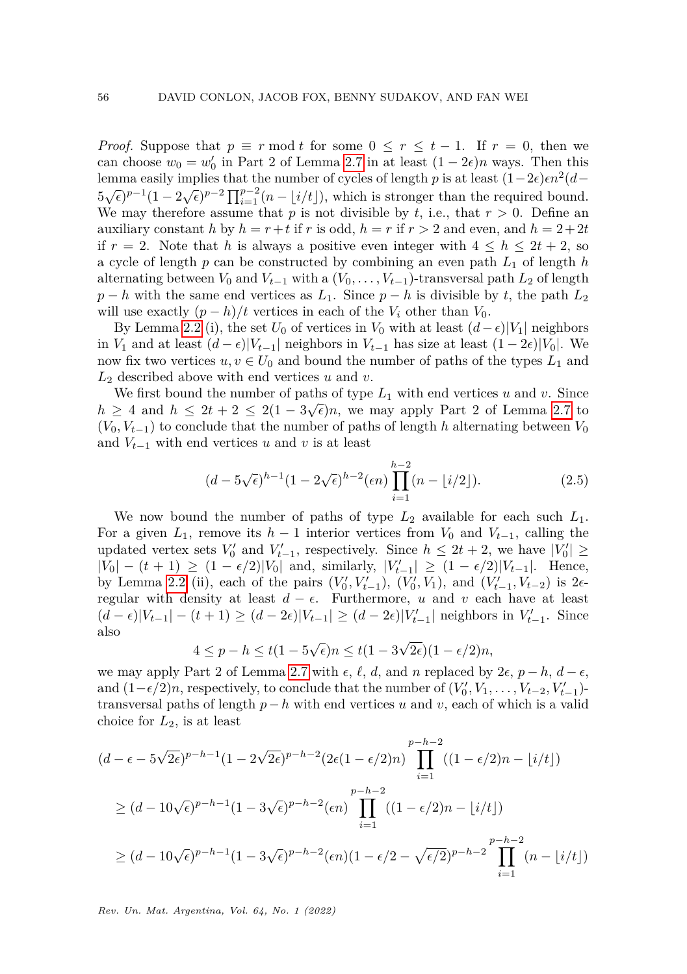*Proof.* Suppose that  $p \equiv r \mod t$  for some  $0 \leq r \leq t-1$ . If  $r = 0$ , then we can choose  $w_0 = w'_0$  in Part 2 of Lemma [2.7](#page-4-1) in at least  $(1 - 2\epsilon)n$  ways. Then this lemma easily implies that the number of cycles of length *p* is at least  $(1-2\epsilon)\epsilon n^2(d 5\sqrt{\epsilon}$ )<sup>*p*−1</sup>(1 − 2 $\sqrt{\epsilon}$ )<sup>*p*−2</sup>  $\prod_{i=1}^{p-2}$ (*n* − [*i*/*t*]), which is stronger than the required bound. We may therefore assume that  $p$  is not divisible by  $t$ , i.e., that  $r > 0$ . Define an auxiliary constant *h* by  $h = r + t$  if *r* is odd,  $h = r$  if  $r > 2$  and even, and  $h = 2+2t$ if  $r = 2$ . Note that h is always a positive even integer with  $4 \leq h \leq 2t + 2$ , so a cycle of length *p* can be constructed by combining an even path *L*<sup>1</sup> of length *h* alternating between  $V_0$  and  $V_{t-1}$  with a  $(V_0, \ldots, V_{t-1})$ -transversal path  $L_2$  of length  $p - h$  with the same end vertices as  $L_1$ . Since  $p - h$  is divisible by *t*, the path  $L_2$ will use exactly  $(p - h)/t$  vertices in each of the  $V_i$  other than  $V_0$ .

By Lemma [2.2](#page-3-2) (i), the set  $U_0$  of vertices in  $V_0$  with at least  $(d-\epsilon)|V_1|$  neighbors in *V*<sub>1</sub> and at least  $(d - \epsilon)|V_{t-1}|$  neighbors in  $V_{t-1}$  has size at least  $(1 - 2\epsilon)|V_0|$ . We now fix two vertices  $u, v \in U_0$  and bound the number of paths of the types  $L_1$  and *L*<sup>2</sup> described above with end vertices *u* and *v*.

We first bound the number of paths of type  $L_1$  with end vertices *u* and *v*. Since  $h \geq 4$  and  $h \leq 2t + 2 \leq 2(1 - 3\sqrt{\epsilon})n$ , we may apply Part 2 of Lemma [2.7](#page-4-1) to  $(V_0, V_{t-1})$  to conclude that the number of paths of length *h* alternating between  $V_0$ and  $V_{t-1}$  with end vertices *u* and *v* is at least

<span id="page-7-0"></span>
$$
(d-5\sqrt{\epsilon})^{h-1}(1-2\sqrt{\epsilon})^{h-2}(\epsilon n)\prod_{i=1}^{h-2}(n-\lfloor i/2\rfloor). \tag{2.5}
$$

We now bound the number of paths of type  $L_2$  available for each such  $L_1$ . For a given  $L_1$ , remove its  $h-1$  interior vertices from  $V_0$  and  $V_{t-1}$ , calling the updated vertex sets  $V'_0$  and  $V'_{t-1}$ , respectively. Since  $h \leq 2t+2$ , we have  $|V'_0| \geq$  $|V_0| - (t + 1) \ge (1 - \epsilon/2)|V_0|$  and, similarly,  $|V'_{t-1}| \ge (1 - \epsilon/2)|V_{t-1}|$ . Hence, by Lemma [2.2](#page-3-2) (ii), each of the pairs  $(V'_0, V'_{t-1})$ ,  $(V'_0, V_1)$ , and  $(V'_{t-1}, V_{t-2})$  is 2 $\epsilon$ regular with density at least  $d - \epsilon$ . Furthermore, *u* and *v* each have at least  $(d - \epsilon)|V_{t-1}| - (t + 1) \ge (d - 2\epsilon)|V_{t-1}| \ge (d - 2\epsilon)|V'_{t-1}|$  neighbors in  $V'_{t-1}$ . Since also √ √

$$
4 \le p - h \le t(1 - 5\sqrt{\epsilon})n \le t(1 - 3\sqrt{2\epsilon})(1 - \epsilon/2)n,
$$

we may apply Part 2 of Lemma [2.7](#page-4-1) with  $\epsilon$ ,  $\ell$ ,  $d$ , and  $n$  replaced by 2 $\epsilon$ ,  $p - h$ ,  $d - \epsilon$ , and  $(1-\epsilon/2)n$ , respectively, to conclude that the number of  $(V'_0, V_1, \ldots, V_{t-2}, V'_{t-1})$ transversal paths of length *p*−*h* with end vertices *u* and *v*, each of which is a valid choice for *L*2, is at least

$$
(d - \epsilon - 5\sqrt{2\epsilon})^{p-h-1} (1 - 2\sqrt{2\epsilon})^{p-h-2} (2\epsilon(1 - \epsilon/2)n) \prod_{i=1}^{p-h-2} ((1 - \epsilon/2)n - \lfloor i/t \rfloor)
$$
  
\n
$$
\geq (d - 10\sqrt{\epsilon})^{p-h-1} (1 - 3\sqrt{\epsilon})^{p-h-2} (\epsilon n) \prod_{i=1}^{p-h-2} ((1 - \epsilon/2)n - \lfloor i/t \rfloor)
$$
  
\n
$$
\geq (d - 10\sqrt{\epsilon})^{p-h-1} (1 - 3\sqrt{\epsilon})^{p-h-2} (\epsilon n) (1 - \epsilon/2 - \sqrt{\epsilon/2})^{p-h-2} \prod_{i=1}^{p-h-2} (n - \lfloor i/t \rfloor)
$$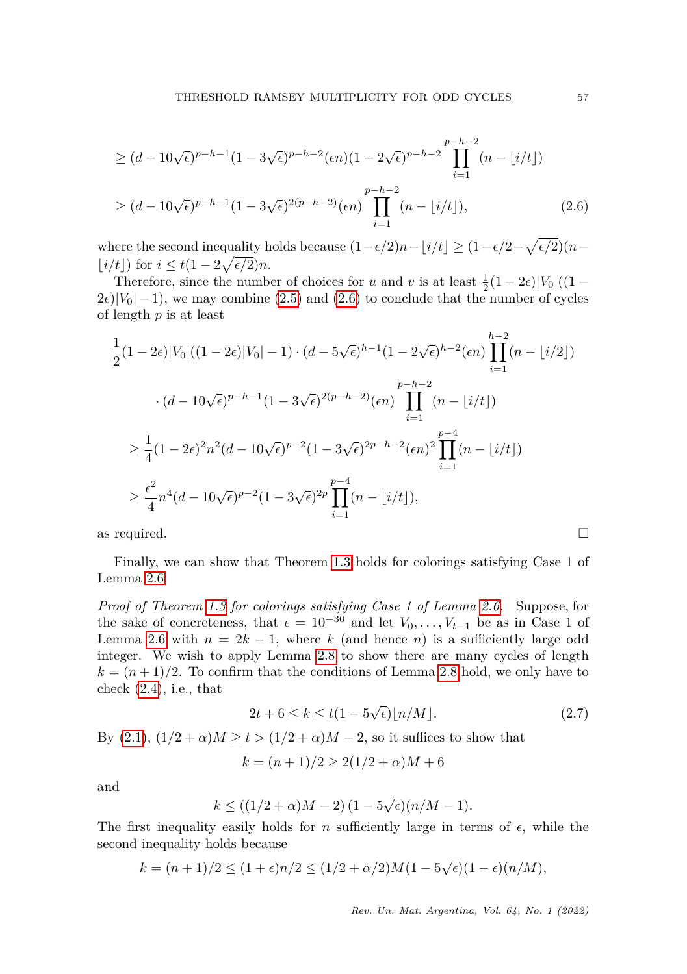<span id="page-8-0"></span>
$$
\geq (d - 10\sqrt{\epsilon})^{p-h-1} (1 - 3\sqrt{\epsilon})^{p-h-2} (\epsilon n) (1 - 2\sqrt{\epsilon})^{p-h-2} \prod_{i=1}^{p-h-2} (n - \lfloor i/t \rfloor)
$$
  

$$
\geq (d - 10\sqrt{\epsilon})^{p-h-1} (1 - 3\sqrt{\epsilon})^{2(p-h-2)} (\epsilon n) \prod_{i=1}^{p-h-2} (n - \lfloor i/t \rfloor),
$$
 (2.6)

where the second inequality holds because  $(1 - \epsilon/2)n - \lfloor i/t \rfloor \ge (1 - \epsilon/2 - \sqrt{\epsilon/2})(n - \epsilon/2)$  $\lfloor i/t \rfloor$  for  $i \leq t(1-2\sqrt{\epsilon/2})n$ .

Therefore, since the number of choices for *u* and *v* is at least  $\frac{1}{2}(1-2\epsilon)|V_0|$  ((1 –  $2\epsilon$ | $|V_0|$  – 1), we may combine [\(2.5\)](#page-7-0) and [\(2.6\)](#page-8-0) to conclude that the number of cycles of length *p* is at least

$$
\frac{1}{2}(1-2\epsilon)|V_0|((1-2\epsilon)|V_0|-1)\cdot (d-5\sqrt{\epsilon})^{h-1}(1-2\sqrt{\epsilon})^{h-2}(\epsilon n)\prod_{i=1}^{h-2}(n-|i/2|)
$$

$$
\cdot (d-10\sqrt{\epsilon})^{p-h-1}(1-3\sqrt{\epsilon})^{2(p-h-2)}(\epsilon n)\prod_{i=1}^{p-h-2}(n-|i/t|)
$$

$$
\geq \frac{1}{4}(1-2\epsilon)^2n^2(d-10\sqrt{\epsilon})^{p-2}(1-3\sqrt{\epsilon})^{2p-h-2}(\epsilon n)^2\prod_{i=1}^{p-4}(n-|i/t|)
$$

$$
\geq \frac{\epsilon^2}{4}n^4(d-10\sqrt{\epsilon})^{p-2}(1-3\sqrt{\epsilon})^{2p}\prod_{i=1}^{p-4}(n-|i/t|),
$$

as required.  $\square$ 

Finally, we can show that Theorem [1.3](#page-2-0) holds for colorings satisfying Case 1 of Lemma [2.6.](#page-4-0)

*Proof of Theorem [1.3](#page-2-0) for colorings satisfying Case 1 of Lemma [2.6.](#page-4-0)* Suppose, for the sake of concreteness, that  $\epsilon = 10^{-30}$  and let  $V_0, \ldots, V_{t-1}$  be as in Case 1 of Lemma [2.6](#page-4-0) with  $n = 2k - 1$ , where k (and hence n) is a sufficiently large odd integer. We wish to apply Lemma [2.8](#page-6-1) to show there are many cycles of length  $k = (n+1)/2$ . To confirm that the conditions of Lemma [2.8](#page-6-1) hold, we only have to check  $(2.4)$ , i.e., that

<span id="page-8-1"></span>
$$
2t + 6 \le k \le t(1 - 5\sqrt{\epsilon})\lfloor n/M \rfloor. \tag{2.7}
$$

By [\(2.1\)](#page-4-2),  $(1/2 + α)M ≥ t > (1/2 + α)M − 2$ , so it suffices to show that

$$
k = (n+1)/2 \ge 2(1/2 + \alpha)M + 6
$$

and

$$
k \le \left(\frac{1}{2} + \alpha\right)M - 2\right)\left(1 - 5\sqrt{\epsilon}\right)\left(n/M - 1\right).
$$

The first inequality easily holds for *n* sufficiently large in terms of  $\epsilon$ , while the second inequality holds because

$$
k = (n+1)/2 \le (1+\epsilon)n/2 \le (1/2+\alpha/2)M(1-5\sqrt{\epsilon})(1-\epsilon)(n/M),
$$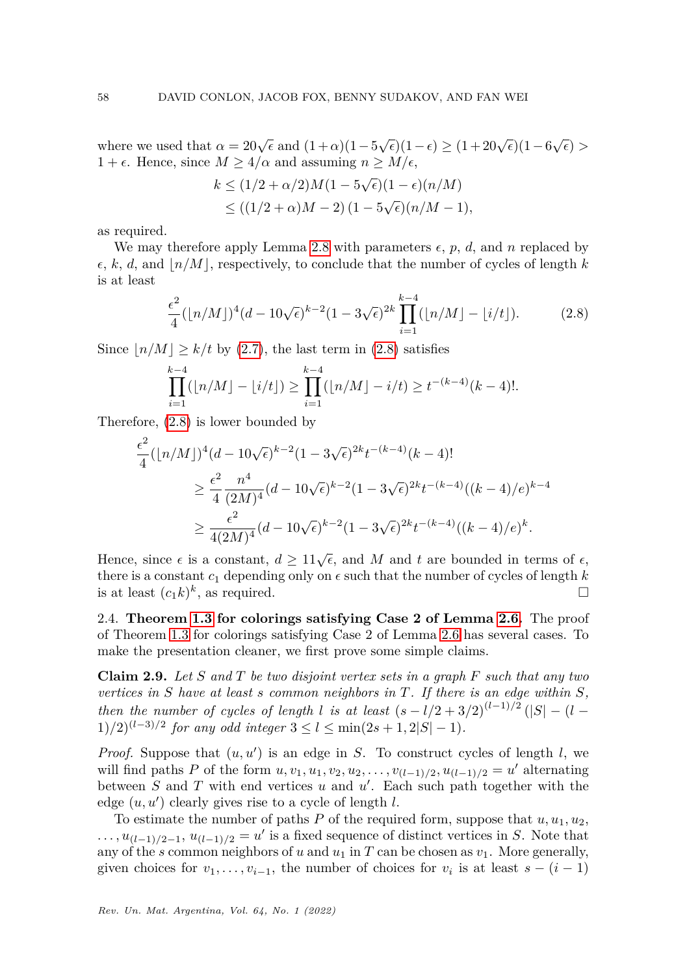where we used that  $\alpha = 20\sqrt{\epsilon}$  and  $(1+\alpha)(1-5\sqrt{\epsilon})(1-\epsilon) \ge (1+20\sqrt{\epsilon})(1-6\sqrt{\epsilon}) >$  $1 + \epsilon$ . Hence, since  $M \geq 4/\alpha$  and assuming  $n \geq M/\epsilon$ , √

$$
k \le (1/2 + \alpha/2)M(1 - 5\sqrt{\epsilon})(1 - \epsilon)(n/M)
$$
  
\n
$$
\le ((1/2 + \alpha)M - 2)(1 - 5\sqrt{\epsilon})(n/M - 1),
$$

as required.

We may therefore apply Lemma [2.8](#page-6-1) with parameters  $\epsilon$ ,  $p$ ,  $d$ , and  $n$  replaced by  $\epsilon, k, d$ , and  $\vert n/M \vert$ , respectively, to conclude that the number of cycles of length *k* is at least

<span id="page-9-0"></span>
$$
\frac{\epsilon^2}{4}(\lfloor n/M \rfloor)^4 (d - 10\sqrt{\epsilon})^{k-2} (1 - 3\sqrt{\epsilon})^{2k} \prod_{i=1}^{k-4} (\lfloor n/M \rfloor - \lfloor i/t \rfloor). \tag{2.8}
$$

Since  $|n/M| \ge k/t$  by [\(2.7\)](#page-8-1), the last term in [\(2.8\)](#page-9-0) satisfies

$$
\prod_{i=1}^{k-4} (|n/M| - |i/t|) \ge \prod_{i=1}^{k-4} (|n/M| - i/t) \ge t^{-(k-4)}(k-4)!
$$

Therefore, [\(2.8\)](#page-9-0) is lower bounded by

$$
\frac{\epsilon^2}{4} (\lfloor n/M \rfloor)^4 (d - 10\sqrt{\epsilon})^{k-2} (1 - 3\sqrt{\epsilon})^{2k} t^{-(k-4)} (k-4)!
$$
  
\n
$$
\geq \frac{\epsilon^2}{4} \frac{n^4}{(2M)^4} (d - 10\sqrt{\epsilon})^{k-2} (1 - 3\sqrt{\epsilon})^{2k} t^{-(k-4)} ((k-4)/\epsilon)^{k-4}
$$
  
\n
$$
\geq \frac{\epsilon^2}{4(2M)^4} (d - 10\sqrt{\epsilon})^{k-2} (1 - 3\sqrt{\epsilon})^{2k} t^{-(k-4)} ((k-4)/\epsilon)^k.
$$

Hence, since  $\epsilon$  is a constant,  $d \geq 11\sqrt{\epsilon}$ , and *M* and *t* are bounded in terms of  $\epsilon$ , there is a constant  $c_1$  depending only on  $\epsilon$  such that the number of cycles of length  $k$ is at least  $(c_1k)^k$ , as required.

2.4. **Theorem [1.3](#page-2-0) for colorings satisfying Case 2 of Lemma [2.6.](#page-4-0)** The proof of Theorem [1.3](#page-2-0) for colorings satisfying Case 2 of Lemma [2.6](#page-4-0) has several cases. To make the presentation cleaner, we first prove some simple claims.

<span id="page-9-1"></span>**Claim 2.9.** *Let S and T be two disjoint vertex sets in a graph F such that any two vertices in S have at least s common neighbors in T. If there is an edge within S, then the number of cycles of length l is at least*  $(s - l/2 + 3/2)^{(l-1)/2}$  (|*S*| − (*l* −  $(1)/2)^{(l-3)/2}$  *for any odd integer*  $3 \le l \le \min(2s+1, 2|S|-1)$ *.* 

*Proof.* Suppose that  $(u, u')$  is an edge in *S*. To construct cycles of length *l*, we will find paths *P* of the form  $u, v_1, u_1, v_2, u_2, \ldots, v_{(l-1)/2}, u_{(l-1)/2} = u'$  alternating between  $S$  and  $T$  with end vertices  $u$  and  $u'$ . Each such path together with the edge  $(u, u')$  clearly gives rise to a cycle of length  $l$ .

To estimate the number of paths  $P$  of the required form, suppose that  $u, u_1, u_2$ ,  $\ldots$ ,  $u_{(l-1)/2-1}$ ,  $u_{(l-1)/2} = u'$  is a fixed sequence of distinct vertices in *S*. Note that any of the *s* common neighbors of *u* and  $u_1$  in *T* can be chosen as  $v_1$ . More generally, given choices for  $v_1, \ldots, v_{i-1}$ , the number of choices for  $v_i$  is at least  $s - (i - 1)$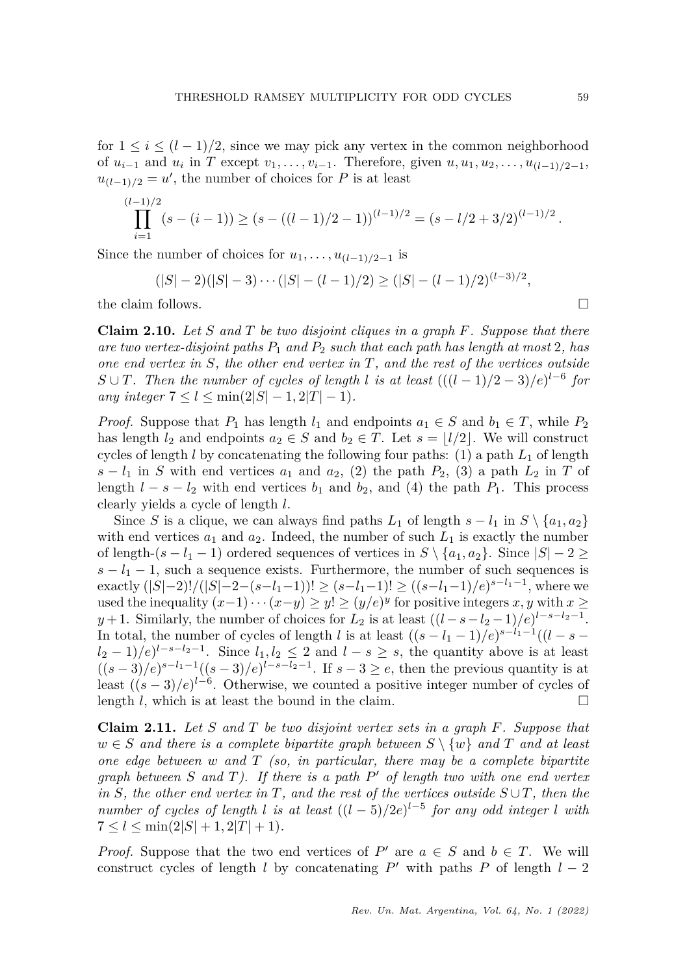for  $1 \leq i \leq (l-1)/2$ , since we may pick any vertex in the common neighborhood of  $u_{i-1}$  and  $u_i$  in *T* except  $v_1, \ldots, v_{i-1}$ . Therefore, given  $u, u_1, u_2, \ldots, u_{(l-1)/2-1}$ ,  $u_{(l-1)/2} = u'$ , the number of choices for *P* is at least

$$
\prod_{i=1}^{(l-1)/2} (s - (i-1)) \ge (s - ((l-1)/2 - 1))^{(l-1)/2} = (s - l/2 + 3/2)^{(l-1)/2}.
$$

Since the number of choices for  $u_1, \ldots, u_{(l-1)/2-1}$  is

$$
(|S|-2)(|S|-3)\cdots(|S|-(l-1)/2) \ge (|S|-(l-1)/2)^{(l-3)/2},
$$

the claim follows.  $\Box$ 

<span id="page-10-0"></span>**Claim 2.10.** *Let S and T be two disjoint cliques in a graph F. Suppose that there are two vertex-disjoint paths P*<sup>1</sup> *and P*<sup>2</sup> *such that each path has length at most* 2*, has one end vertex in S, the other end vertex in T, and the rest of the vertices outside S* ∪ *T.* Then the number of cycles of length *l* is at least  $(((l - 1)/2 - 3)/e)^{l-6}$  for *any integer*  $7 \leq l \leq \min(2|S|-1, 2|T|-1)$ *.* 

*Proof.* Suppose that  $P_1$  has length  $l_1$  and endpoints  $a_1 \in S$  and  $b_1 \in T$ , while  $P_2$ has length  $l_2$  and endpoints  $a_2 \in S$  and  $b_2 \in T$ . Let  $s = \lfloor l/2 \rfloor$ . We will construct cycles of length  $l$  by concatenating the following four paths: (1) a path  $L_1$  of length  $s - l_1$  in *S* with end vertices  $a_1$  and  $a_2$ , (2) the path  $P_2$ , (3) a path  $L_2$  in *T* of length  $l - s - l_2$  with end vertices  $b_1$  and  $b_2$ , and (4) the path  $P_1$ . This process clearly yields a cycle of length *l*.

Since *S* is a clique, we can always find paths  $L_1$  of length  $s - l_1$  in  $S \setminus \{a_1, a_2\}$ with end vertices  $a_1$  and  $a_2$ . Indeed, the number of such  $L_1$  is exactly the number of length- $(s - l_1 - 1)$  ordered sequences of vertices in  $S \setminus \{a_1, a_2\}$ . Since  $|S| - 2 \ge$  $s - l_1 - 1$ , such a sequence exists. Furthermore, the number of such sequences is exactly  $(|S|-2)!/(|S|-2-(s-l_1-1))! \geq (s-l_1-1)! \geq ((s-l_1-1)/e)^{s-l_1-1}$ , where we used the inequality  $(x-1)\cdots(x-y) \ge y! \ge (y/e)^y$  for positive integers *x*, *y* with *x* ≥ *y* + 1. Similarly, the number of choices for *L*<sub>2</sub> is at least  $((l - s - l_2 - 1)/e)^{l - s - l_2 - 1}$ . In total, the number of cycles of length *l* is at least  $((s - l_1 - 1)/e)^{s-l_1-1}((l - s (l_2 - 1)/e^{l - s - l_2 - 1}$ . Since  $l_1, l_2 \leq 2$  and  $l - s \geq s$ , the quantity above is at least  $((s-3)/e)^{s-l_1-1}((s-3)/e)^{l-s-l_2-1}$ . If  $s-3\geq e$ , then the previous quantity is at least  $((s-3)/e)^{l-6}$ . Otherwise, we counted a positive integer number of cycles of length *l*, which is at least the bound in the claim.

<span id="page-10-1"></span>**Claim 2.11.** *Let S and T be two disjoint vertex sets in a graph F. Suppose that*  $w \in S$  *and there is a complete bipartite graph between*  $S \setminus \{w\}$  *and*  $T$  *and at least one edge between w and T (so, in particular, there may be a complete bipartite graph between S and T). If there is a path P* <sup>0</sup> *of length two with one end vertex in S, the other end vertex in T, and the rest of the vertices outside*  $S \cup T$ *, then the number of cycles of length l is at least* ((*l* − 5)*/*2*e*) *l*−5 *for any odd integer l with*  $7 < l < \min(2|S| + 1, 2|T| + 1)$ .

*Proof.* Suppose that the two end vertices of  $P'$  are  $a \in S$  and  $b \in T$ . We will construct cycles of length *l* by concatenating  $P'$  with paths  $P$  of length  $l - 2$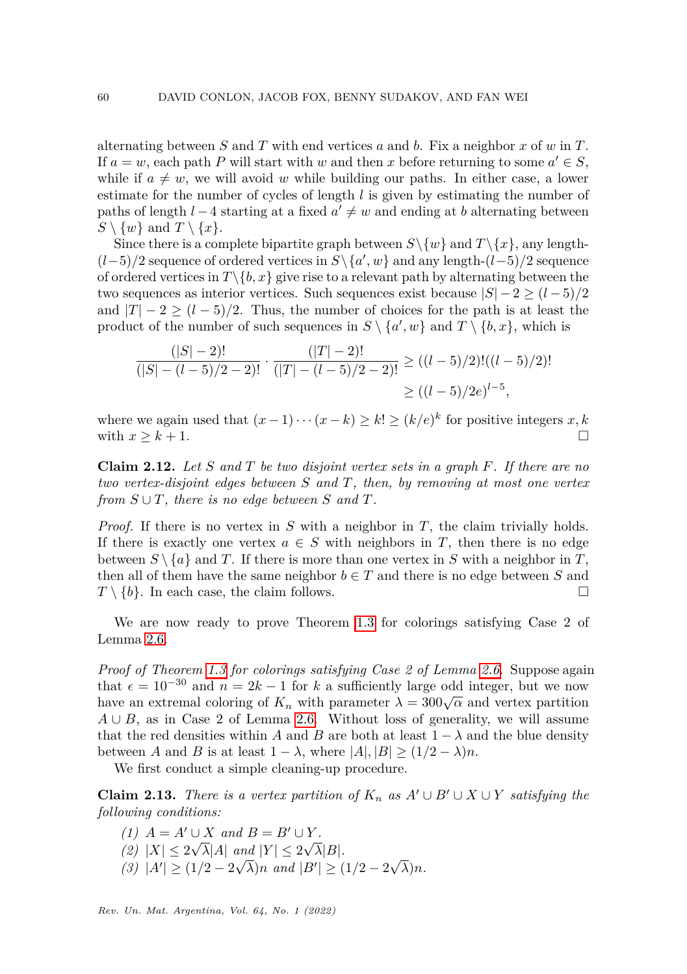alternating between *S* and *T* with end vertices *a* and *b*. Fix a neighbor *x* of *w* in *T*. If  $a = w$ , each path *P* will start with *w* and then *x* before returning to some  $a' \in S$ , while if  $a \neq w$ , we will avoid *w* while building our paths. In either case, a lower estimate for the number of cycles of length *l* is given by estimating the number of paths of length *l* − 4 starting at a fixed  $a' \neq w$  and ending at *b* alternating between  $S \setminus \{w\}$  and  $T \setminus \{x\}.$ 

Since there is a complete bipartite graph between  $S \setminus \{w\}$  and  $T \setminus \{x\}$ , any length- $(l-5)/2$  sequence of ordered vertices in  $S \setminus \{a', w\}$  and any length- $(l-5)/2$  sequence of ordered vertices in  $T\backslash\{b, x\}$  give rise to a relevant path by alternating between the two sequences as interior vertices. Such sequences exist because  $|S| - 2 \ge (l - 5)/2$ and  $|T| - 2 \ge (l - 5)/2$ . Thus, the number of choices for the path is at least the product of the number of such sequences in  $S \setminus \{a', w\}$  and  $T \setminus \{b, x\}$ , which is

$$
\frac{(|S|-2)!}{(|S|-(l-5)/2-2)!} \cdot \frac{(|T|-2)!}{(|T|-(l-5)/2-2)!} \ge ((l-5)/2)!((l-5)/2)! \\
\ge ((l-5)/2e)^{l-5},
$$

where we again used that  $(x-1)\cdots(x-k) \geq k! \geq (k/e)^k$  for positive integers  $x, k$ with  $x \geq k+1$ .

<span id="page-11-1"></span>**Claim 2.12.** *Let S and T be two disjoint vertex sets in a graph F. If there are no two vertex-disjoint edges between S and T, then, by removing at most one vertex from*  $S \cup T$ *, there is no edge between*  $S$  *and*  $T$ *.* 

*Proof.* If there is no vertex in *S* with a neighbor in *T*, the claim trivially holds. If there is exactly one vertex  $a \in S$  with neighbors in *T*, then there is no edge between  $S \setminus \{a\}$  and *T*. If there is more than one vertex in *S* with a neighbor in *T*, then all of them have the same neighbor  $b \in T$  and there is no edge between *S* and  $T \setminus \{b\}$ . In each case, the claim follows.

We are now ready to prove Theorem [1.3](#page-2-0) for colorings satisfying Case 2 of Lemma [2.6.](#page-4-0)

*Proof of Theorem [1.3](#page-2-0) for colorings satisfying Case 2 of Lemma [2.6.](#page-4-0)* Suppose again that  $\epsilon = 10^{-30}$  and  $n = 2k - 1$  for *k* a sufficiently large odd integer, but we now have an extremal coloring of  $K_n$  with parameter  $\lambda = 300\sqrt{\alpha}$  and vertex partition  $A \cup B$ , as in Case 2 of Lemma [2.6.](#page-4-0) Without loss of generality, we will assume that the red densities within *A* and *B* are both at least  $1 - \lambda$  and the blue density between *A* and *B* is at least  $1 - \lambda$ , where  $|A|, |B| \ge (1/2 - \lambda)n$ .

We first conduct a simple cleaning-up procedure.

<span id="page-11-0"></span>**Claim 2.13.** *There is a vertex partition of*  $K_n$  *as*  $A' \cup B' \cup X \cup Y$  *satisfying the following conditions:*

*(1)*  $A = A' \cup X$  *and*  $B = B' \cup Y$ .  $(2)$   $|X| \leq 2\sqrt{\lambda}|A|$  and  $|Y| \leq 2\sqrt{\lambda}|B|$ .  $(3)$   $|A'| \ge (1/2 - 2\sqrt{\lambda})n$  *and*  $|B'| \ge (1/2 - 2)$ √ *λ*)*n.*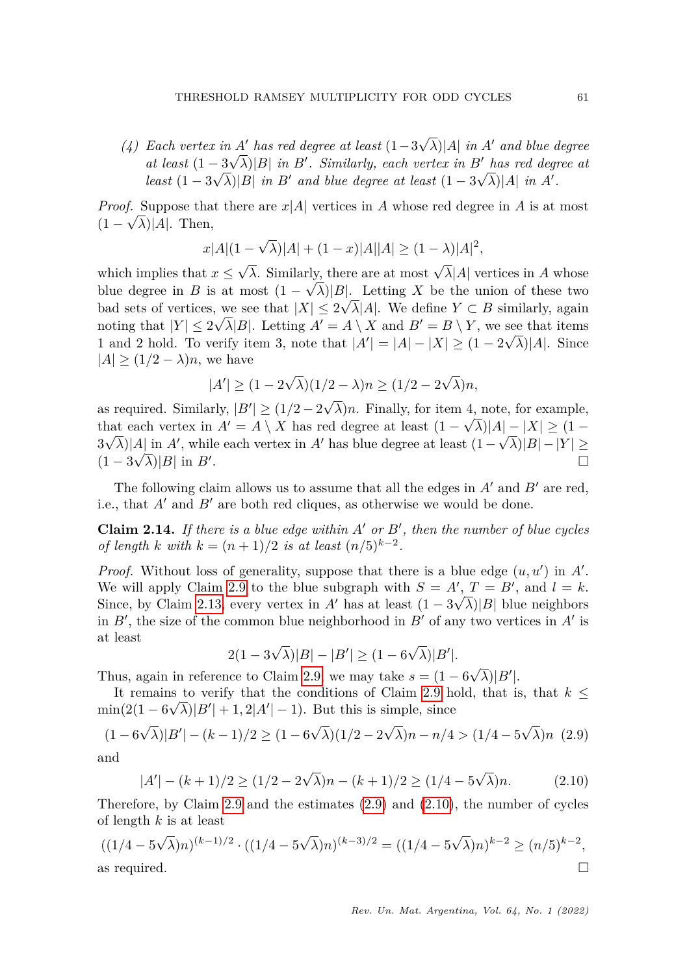*(4) Each vertex in A*<sup> $\prime$ </sup> *has red degree at least*  $(1-3\sqrt{\lambda})$ |*A*| *in A*<sup> $\prime$ </sup> *and blue degree at least*  $(1 - 3\sqrt{\lambda})|B|$  *in B'*. Similarly, each vertex in *B'* has red degree at *least*  $(1 - 3\sqrt{\lambda})|B|$  *in B*<sup>*i*</sup> *and blue degree at least*  $(1 - 3\sqrt{\lambda})|A|$  *in A'*.

*Proof.* Suppose that there are  $x|A|$  vertices in *A* whose red degree in *A* is at most  $(1 - \sqrt{\lambda})$ |A|. Then,

$$
x|A|(1-\sqrt{\lambda})|A| + (1-x)|A||A| \ge (1-\lambda)|A|^2,
$$

which implies that  $x \leq$  $\sqrt{\lambda}$ . Similarly, there are at most  $\sqrt{\lambda}$ |*A*| vertices in *A* whose blue degree in *B* is at most  $(1 - \sqrt{\lambda})|B|$ . Letting *X* be the union of these two bad sets of vertices, we see that  $|X| \leq 2\sqrt{\lambda} |A|$ . We define  $Y \subset B$  similarly, again noting that  $|Y| \leq 2\sqrt{\lambda}|B|$ . Letting  $A' = A \setminus X$  and  $B' = B \setminus Y$ , we see that items 1 and 2 hold. To verify item 3, note that  $|A'| = |A| - |X| \ge (1 - 2\sqrt{\lambda})|A|$ . Since  $|A| \geq (1/2 - \lambda)n$ , we have

$$
|A'| \ge (1 - 2\sqrt{\lambda})(1/2 - \lambda)n \ge (1/2 - 2\sqrt{\lambda})n,
$$

as required. Similarly,  $|B'| \ge (1/2 - 2)$  $\lambda$ )*n*. Finally, for item 4, note, for example, that each vertex in  $A' = A \setminus X$  has red degree at least  $(1 - \sqrt{\lambda})|A| - |X| \ge (1 - \sqrt{\lambda})$  $3\sqrt{\lambda}$ |*A*| in *A'*, while each vertex in *A'* has blue degree at least  $(1-\sqrt{\lambda})|B|-|Y| \ge$  $(1-3\sqrt{\lambda})|B|$  in *B'* . В последните поставите на селото на селото на селото на селото на селото на селото на селото на селото на се<br>Селото на селото на селото на селото на селото на селото на селото на селото на селото на селото на селото на

The following claim allows us to assume that all the edges in  $A'$  and  $B'$  are red, i.e., that  $A'$  and  $B'$  are both red cliques, as otherwise we would be done.

<span id="page-12-2"></span>**Claim 2.14.** If there is a blue edge within  $A'$  or  $B'$ , then the number of blue cycles *of length k with*  $k = (n+1)/2$  *is at least*  $(n/5)^{k-2}$ .

*Proof.* Without loss of generality, suppose that there is a blue edge  $(u, u')$  in  $A'$ . We will apply Claim [2.9](#page-9-1) to the blue subgraph with  $S = A', T = B'$ , and  $l = k$ . Since, by Claim [2.13,](#page-11-0) every vertex in *A'* has at least  $(1 - 3\sqrt{\lambda})|B|$  blue neighbors in  $B'$ , the size of the common blue neighborhood in  $B'$  of any two vertices in  $A'$  is at least √ √

$$
2(1 - 3\sqrt{\lambda})|B| - |B'| \ge (1 - 6\sqrt{\lambda})|B'|.
$$

Thus, again in reference to Claim [2.9,](#page-9-1) we may take  $s = (1 - 6)$  $\sqrt{\lambda}$ | $B'$ |.

It remains to verify that the conditions of Claim [2.9](#page-9-1) hold, that is, that  $k \leq$  $\min(2(1 - 6\sqrt{\lambda})|B'| + 1, 2|A'| - 1)$ . But this is simple, since

<span id="page-12-0"></span>
$$
(1 - 6\sqrt{\lambda})|B'| - (k - 1)/2 \ge (1 - 6\sqrt{\lambda})(1/2 - 2\sqrt{\lambda})n - n/4 > (1/4 - 5\sqrt{\lambda})n
$$
 (2.9)

and

<span id="page-12-1"></span>
$$
|A'| - (k+1)/2 \ge (1/2 - 2\sqrt{\lambda})n - (k+1)/2 \ge (1/4 - 5\sqrt{\lambda})n.
$$
 (2.10)

Therefore, by Claim [2.9](#page-9-1) and the estimates [\(2.9\)](#page-12-0) and [\(2.10\)](#page-12-1), the number of cycles of length *k* is at least

$$
((1/4 - 5\sqrt{\lambda})n)^{(k-1)/2} \cdot ((1/4 - 5\sqrt{\lambda})n)^{(k-3)/2} = ((1/4 - 5\sqrt{\lambda})n)^{k-2} \ge (n/5)^{k-2},
$$
  
as required.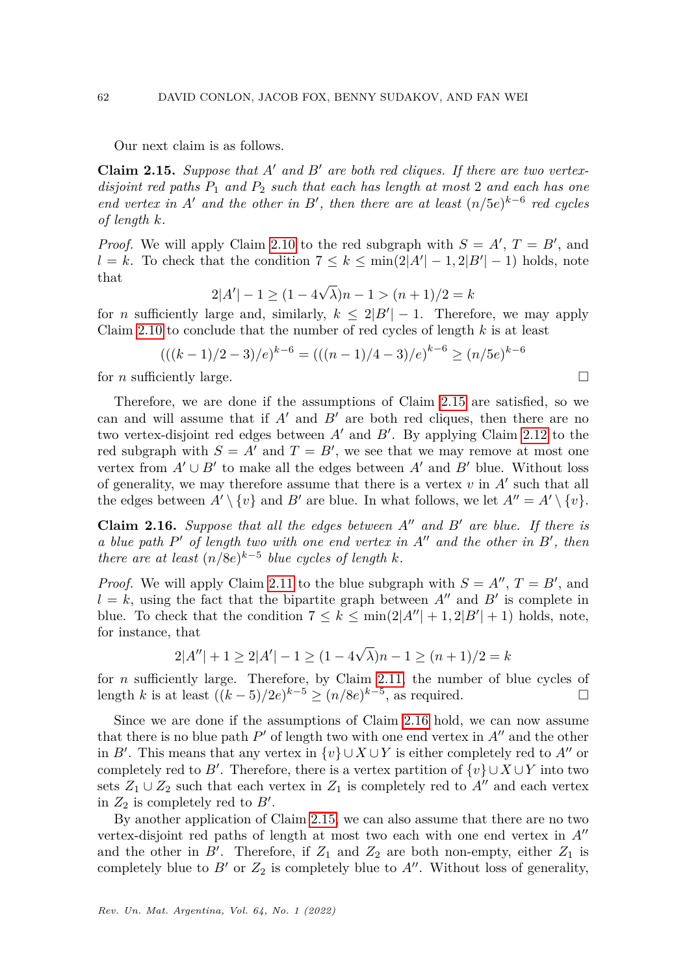Our next claim is as follows.

<span id="page-13-0"></span>**Claim 2.15.** Suppose that  $A'$  and  $B'$  are both red cliques. If there are two vertex*disjoint red paths P*<sup>1</sup> *and P*<sup>2</sup> *such that each has length at most* 2 *and each has one end vertex in A*<sup> $\prime$ </sup> *and the other in B*<sup> $\prime$ </sup>, *then there are at least*  $(n/5e)^{k-6}$  *red cycles of length k.*

*Proof.* We will apply Claim [2.10](#page-10-0) to the red subgraph with  $S = A'$ ,  $T = B'$ , and  $l = k$ . To check that the condition  $7 \leq k \leq \min(2|A'|-1, 2|B'|-1)$  holds, note that √

$$
2|A'| - 1 \ge (1 - 4\sqrt{\lambda})n - 1 > (n+1)/2 = k
$$

for *n* sufficiently large and, similarly,  $k \leq 2|B'| - 1$ . Therefore, we may apply Claim [2.10](#page-10-0) to conclude that the number of red cycles of length *k* is at least

$$
(((k-1)/2-3)/e)^{k-6} = (((n-1)/4-3)/e)^{k-6} \ge (n/5e)^{k-6}
$$

for *n* sufficiently large.

Therefore, we are done if the assumptions of Claim [2.15](#page-13-0) are satisfied, so we can and will assume that if  $A'$  and  $B'$  are both red cliques, then there are no two vertex-disjoint red edges between  $A'$  and  $B'$ . By applying Claim [2.12](#page-11-1) to the red subgraph with  $S = A'$  and  $T = B'$ , we see that we may remove at most one vertex from  $A' \cup B'$  to make all the edges between  $A'$  and  $B'$  blue. Without loss of generality, we may therefore assume that there is a vertex  $v$  in  $A'$  such that all the edges between  $A' \setminus \{v\}$  and  $B'$  are blue. In what follows, we let  $A'' = A' \setminus \{v\}$ .

<span id="page-13-1"></span>**Claim 2.16.** *Suppose that all the edges between*  $A''$  *and*  $B'$  *are blue. If there is a* blue path P' of length two with one end vertex in A" and the other in B', then *there are at least*  $(n/8e)^{k-5}$  *blue cycles of length k.* 

*Proof.* We will apply Claim [2.11](#page-10-1) to the blue subgraph with  $S = A''$ ,  $T = B'$ , and  $l = k$ , using the fact that the bipartite graph between  $A''$  and  $B'$  is complete in blue. To check that the condition  $7 \leq k \leq \min(2|A''| + 1, 2|B'| + 1)$  holds, note, for instance, that √

$$
2|A''| + 1 \ge 2|A'| - 1 \ge (1 - 4\sqrt{\lambda})n - 1 \ge (n+1)/2 = k
$$

for *n* sufficiently large. Therefore, by Claim [2.11,](#page-10-1) the number of blue cycles of length *k* is at least  $((k-5)/2e)^{k-5} \ge (n/8e)^{k-5}$ , as required. □

Since we are done if the assumptions of Claim [2.16](#page-13-1) hold, we can now assume that there is no blue path  $P'$  of length two with one end vertex in  $A''$  and the other in *B*<sup> $\prime$ </sup>. This means that any vertex in  $\{v\} \cup X \cup Y$  is either completely red to *A*<sup> $\prime$ </sup> or completely red to *B'*. Therefore, there is a vertex partition of  $\{v\} \cup X \cup Y$  into two sets  $Z_1 \cup Z_2$  such that each vertex in  $Z_1$  is completely red to  $A''$  and each vertex in  $Z_2$  is completely red to  $B'$ .

By another application of Claim [2.15,](#page-13-0) we can also assume that there are no two vertex-disjoint red paths of length at most two each with one end vertex in  $A''$ and the other in  $B'$ . Therefore, if  $Z_1$  and  $Z_2$  are both non-empty, either  $Z_1$  is completely blue to  $B'$  or  $Z_2$  is completely blue to  $A''$ . Without loss of generality,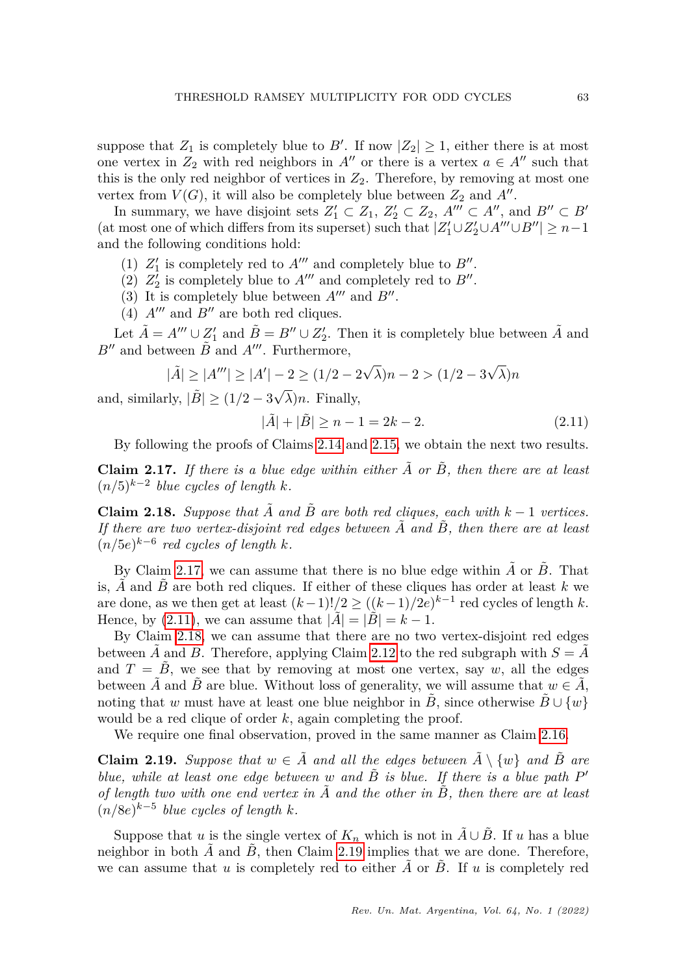suppose that  $Z_1$  is completely blue to  $B'$ . If now  $|Z_2| \geq 1$ , either there is at most one vertex in  $Z_2$  with red neighbors in  $A''$  or there is a vertex  $a \in A''$  such that this is the only red neighbor of vertices in  $Z_2$ . Therefore, by removing at most one vertex from  $V(G)$ , it will also be completely blue between  $Z_2$  and  $A''$ .

In summary, we have disjoint sets  $Z'_1 \subset Z_1$ ,  $Z'_2 \subset Z_2$ ,  $A''' \subset A''$ , and  $B'' \subset B'$ (at most one of which differs from its superset) such that  $|Z'_1 \cup Z'_2 \cup A''' \cup B''| \geq n-1$ and the following conditions hold:

- (1)  $Z'_1$  is completely red to  $A'''$  and completely blue to  $B''$ .
- (2)  $Z'_2$  is completely blue to  $A'''$  and completely red to  $B''$ .
- (3) It is completely blue between  $A'''$  and  $B''$ .
- (4)  $A^{\prime\prime\prime}$  and  $B^{\prime\prime}$  are both red cliques.

Let  $\tilde{A} = A''' \cup Z'_1$  and  $\tilde{B} = B'' \cup Z'_2$ . Then it is completely blue between  $\tilde{A}$  and  $B''$  and between  $\tilde{B}$  and  $A'''$ . Furthermore,

$$
|\tilde{A}| \ge |A'''| \ge |A'| - 2 \ge (1/2 - 2\sqrt{\lambda})n - 2 > (1/2 - 3\sqrt{\lambda})n
$$

and, similarly,  $|\tilde{B}| \ge (1/2 - 3\sqrt{3})$ *λ*)*n*. Finally,

<span id="page-14-1"></span>
$$
|\tilde{A}| + |\tilde{B}| \ge n - 1 = 2k - 2. \tag{2.11}
$$

By following the proofs of Claims [2.14](#page-12-2) and [2.15,](#page-13-0) we obtain the next two results.

<span id="page-14-0"></span>**Claim 2.17.** If there is a blue edge within either  $\tilde{A}$  or  $\tilde{B}$ , then there are at least (*n/*5)*<sup>k</sup>*−<sup>2</sup> *blue cycles of length k.*

<span id="page-14-2"></span>**Claim 2.18.** *Suppose that*  $\tilde{A}$  *and*  $\tilde{B}$  *are both red cliques, each with*  $k-1$  *vertices. If there are two vertex-disjoint red edges between A*˜ *and B*˜*, then there are at least*  $(n/5e)^{k-6}$  *red cycles of length k.* 

By Claim [2.17,](#page-14-0) we can assume that there is no blue edge within  $\tilde{A}$  or  $\tilde{B}$ . That is,  $\tilde{A}$  and  $\tilde{B}$  are both red cliques. If either of these cliques has order at least  $k$  we are done, as we then get at least  $(k-1)!/2 \ge ((k-1)/2e)^{k-1}$  red cycles of length *k*. Hence, by [\(2.11\)](#page-14-1), we can assume that  $|A| = |B| = k - 1$ .

By Claim [2.18,](#page-14-2) we can assume that there are no two vertex-disjoint red edges between *A* and *B*. Therefore, applying Claim [2.12](#page-11-1) to the red subgraph with  $S = A$ and  $T = B$ , we see that by removing at most one vertex, say *w*, all the edges between  $\tilde{A}$  and  $\tilde{B}$  are blue. Without loss of generality, we will assume that  $w \in \tilde{A}$ , noting that *w* must have at least one blue neighbor in *B*, since otherwise  $B \cup \{w\}$ would be a red clique of order *k*, again completing the proof.

We require one final observation, proved in the same manner as Claim [2.16.](#page-13-1)

<span id="page-14-3"></span>**Claim 2.19.** *Suppose that*  $w \in \tilde{A}$  *and all the edges between*  $\tilde{A} \setminus \{w\}$  *and*  $\tilde{B}$  *are blue, while at least one edge between*  $w$  *and*  $\tilde{B}$  *is blue. If there is a blue path*  $P'$ *of length two with one end vertex in A*˜ *and the other in B*˜*, then there are at least*  $(n/8e)^{k-5}$  *blue cycles of length k.* 

Suppose that *u* is the single vertex of  $K_n$  which is not in  $\tilde{A} \cup \tilde{B}$ . If *u* has a blue neighbor in both  $A$  and  $B$ , then Claim [2.19](#page-14-3) implies that we are done. Therefore, we can assume that  $u$  is completely red to either  $A$  or  $B$ . If  $u$  is completely red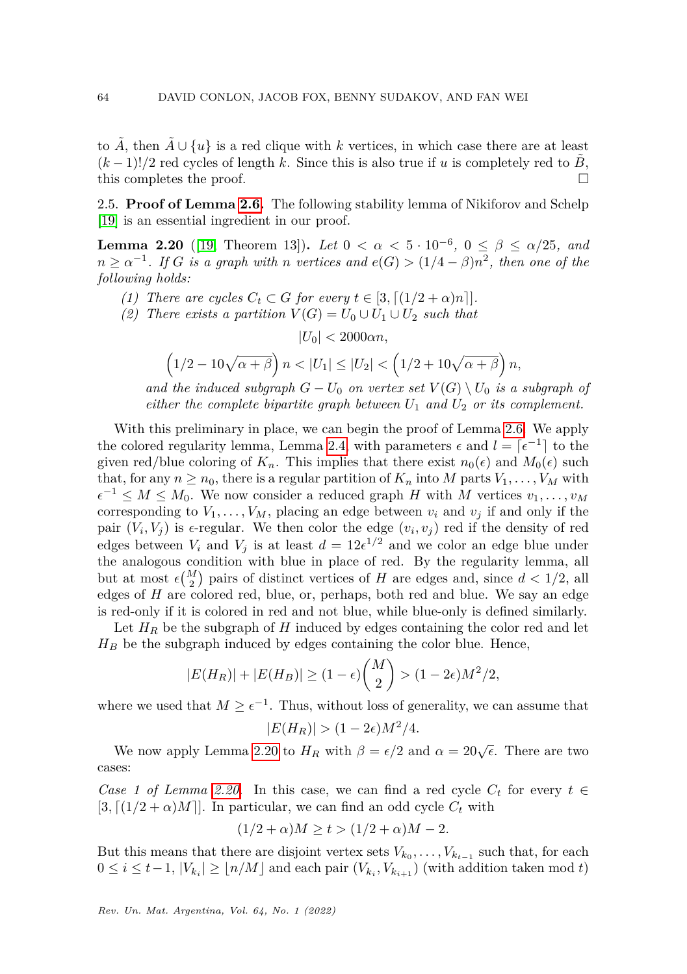to  $\tilde{A}$ , then  $\tilde{A} \cup \{u\}$  is a red clique with *k* vertices, in which case there are at least  $(k-1)!/2$  red cycles of length k. Since this is also true if u is completely red to B, this completes the proof.  $\Box$ 

<span id="page-15-0"></span>2.5. **Proof of Lemma [2.6.](#page-4-0)** The following stability lemma of Nikiforov and Schelp [\[19\]](#page-19-13) is an essential ingredient in our proof.

<span id="page-15-1"></span>**Lemma 2.20** ([\[19,](#page-19-13) Theorem 13]). *Let*  $0 < \alpha < 5 \cdot 10^{-6}$ ,  $0 \le \beta \le \alpha/25$ , and  $n \ge \alpha^{-1}$ . *If G is a graph with n vertices and*  $e(G) > (1/4 - \beta)n^2$ , *then one of the following holds:*

- *(1) There are cycles*  $C_t \subset G$  *for every*  $t \in [3, \lceil (1/2 + \alpha)n \rceil].$
- *(2) There exists a partition*  $V(G) = U_0 \cup U_1 \cup U_2$  *such that*

 $|U_0| < 2000\alpha n$ ,

$$
\left(1/2 - 10\sqrt{\alpha + \beta}\right)n < |U_1| \leq |U_2| < \left(1/2 + 10\sqrt{\alpha + \beta}\right)n,
$$

*and the induced subgraph*  $G - U_0$  *on vertex set*  $V(G) \setminus U_0$  *is a subgraph of either the complete bipartite graph between*  $U_1$  *and*  $U_2$  *or its complement.* 

With this preliminary in place, we can begin the proof of Lemma [2.6.](#page-4-0) We apply the colored regularity lemma, Lemma [2.4,](#page-3-1) with parameters  $\epsilon$  and  $l = \lceil \epsilon^{-1} \rceil$  to the given red/blue coloring of  $K_n$ . This implies that there exist  $n_0(\epsilon)$  and  $M_0(\epsilon)$  such that, for any  $n \geq n_0$ , there is a regular partition of  $K_n$  into M parts  $V_1, \ldots, V_M$  with  $\epsilon^{-1} \leq M \leq M_0$ . We now consider a reduced graph *H* with *M* vertices  $v_1, \ldots, v_M$ corresponding to  $V_1, \ldots, V_M$ , placing an edge between  $v_i$  and  $v_j$  if and only if the pair  $(V_i, V_j)$  is  $\epsilon$ -regular. We then color the edge  $(v_i, v_j)$  red if the density of red edges between  $V_i$  and  $V_j$  is at least  $d = 12e^{1/2}$  and we color an edge blue under the analogous condition with blue in place of red. By the regularity lemma, all but at most  $\epsilon {M \choose 2}$  pairs of distinct vertices of *H* are edges and, since  $d < 1/2$ , all edges of *H* are colored red, blue, or, perhaps, both red and blue. We say an edge is red-only if it is colored in red and not blue, while blue-only is defined similarly.

Let  $H_R$  be the subgraph of  $H$  induced by edges containing the color red and let  $H_B$  be the subgraph induced by edges containing the color blue. Hence,

$$
|E(H_R)|+|E(H_B)|\geq (1-\epsilon)\binom{M}{2}>(1-2\epsilon)M^2/2,
$$

where we used that  $M \geq \epsilon^{-1}$ . Thus, without loss of generality, we can assume that

$$
|E(H_R)| > (1 - 2\epsilon)M^2/4.
$$

We now apply Lemma [2.20](#page-15-1) to  $H_R$  with  $\beta = \epsilon/2$  and  $\alpha = 20\sqrt{\epsilon}$ . There are two cases:

*Case 1 of Lemma [2.20.](#page-15-1)* In this case, we can find a red cycle  $C_t$  for every  $t \in$  $[3, (1/2 + \alpha)M]$ . In particular, we can find an odd cycle  $C_t$  with

$$
(1/2 + \alpha)M \ge t > (1/2 + \alpha)M - 2.
$$

But this means that there are disjoint vertex sets  $V_{k_0}, \ldots, V_{k_{t-1}}$  such that, for each  $0 \leq i \leq t-1, |V_{k_i}| \geq \lfloor n/M \rfloor$  and each pair  $(V_{k_i}, V_{k_{i+1}})$  (with addition taken mod *t*)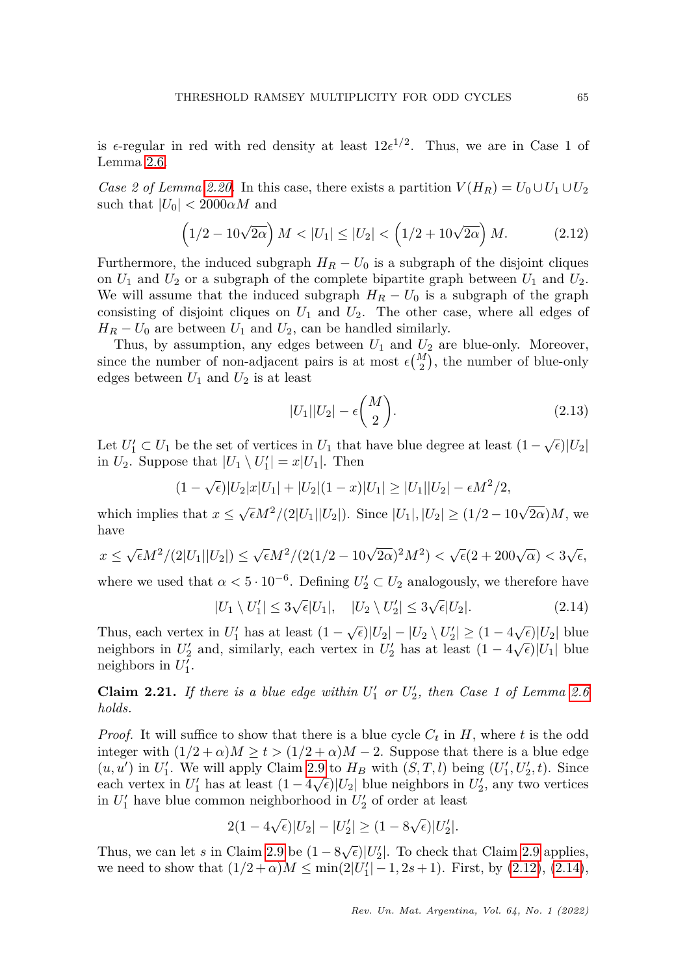is  $\epsilon$ -regular in red with red density at least  $12\epsilon^{1/2}$ . Thus, we are in Case 1 of Lemma [2.6.](#page-4-0)

*Case 2 of Lemma [2.20.](#page-15-1)* In this case, there exists a partition  $V(H_R) = U_0 \cup U_1 \cup U_2$ such that  $|U_0| < 2000 \alpha M$  and

<span id="page-16-0"></span>
$$
(1/2 - 10\sqrt{2\alpha}) M < |U_1| \le |U_2| < (1/2 + 10\sqrt{2\alpha}) M.
$$
 (2.12)

Furthermore, the induced subgraph  $H_R - U_0$  is a subgraph of the disjoint cliques on  $U_1$  and  $U_2$  or a subgraph of the complete bipartite graph between  $U_1$  and  $U_2$ . We will assume that the induced subgraph  $H_R - U_0$  is a subgraph of the graph consisting of disjoint cliques on  $U_1$  and  $U_2$ . The other case, where all edges of  $H_R - U_0$  are between  $U_1$  and  $U_2$ , can be handled similarly.

Thus, by assumption, any edges between  $U_1$  and  $U_2$  are blue-only. Moreover, since the number of non-adjacent pairs is at most  $\epsilon {M \choose 2}$ , the number of blue-only edges between  $U_1$  and  $U_2$  is at least

<span id="page-16-3"></span>
$$
|U_1||U_2| - \epsilon \binom{M}{2}.\tag{2.13}
$$

Let  $U'_1 \subset U_1$  be the set of vertices in  $U_1$  that have blue degree at least  $(1 - \sqrt{\epsilon}) |U_2|$ in  $U_2$ . Suppose that  $|U_1 \setminus U_1'| = x|U_1|$ . Then

$$
(1 - \sqrt{\epsilon})|U_2|x|U_1| + |U_2|(1 - x)|U_1| \ge |U_1||U_2| - \epsilon M^2/2,
$$

which implies that  $x \le \sqrt{\epsilon} M^2/(2|U_1||U_2|)$ . Since  $|U_1|, |U_2| \ge (1/2 - 10\sqrt{2\alpha})M$ , we have

$$
x \le \sqrt{\epsilon}M^2/(2|U_1||U_2|) \le \sqrt{\epsilon}M^2/(2(1/2-10\sqrt{2\alpha})^2M^2) < \sqrt{\epsilon}(2+200\sqrt{\alpha}) < 3\sqrt{\epsilon},
$$

where we used that  $\alpha < 5 \cdot 10^{-6}$ . Defining  $U_2' \subset U_2$  analogously, we therefore have

<span id="page-16-1"></span>
$$
|U_1 \setminus U_1'| \le 3\sqrt{\epsilon}|U_1|, \quad |U_2 \setminus U_2'| \le 3\sqrt{\epsilon}|U_2|.
$$
 (2.14)

Thus, each vertex in  $U'_1$  has at least  $(1 - \sqrt{\epsilon})|U_2| - |U_2 \setminus U'_2| \ge (1 - 4\sqrt{\epsilon})|U_2|$  blue neighbors in  $U_2'$  and, similarly, each vertex in  $U_2'$  has at least  $(1 - 4\sqrt{\epsilon})|U_1|$  blue neighbors in  $U_1'$ .

<span id="page-16-2"></span>**Claim 2.21.** If there is a blue edge within  $U'_1$  or  $U'_2$ , then Case 1 of Lemma [2.6](#page-4-0) *holds.*

*Proof.* It will suffice to show that there is a blue cycle  $C_t$  in  $H$ , where  $t$  is the odd integer with  $(1/2 + \alpha)M \ge t > (1/2 + \alpha)M - 2$ . Suppose that there is a blue edge  $(u, u')$  in *U*<sup>1</sup>. We will apply Claim [2.9](#page-9-1) to  $H_B$  with  $(S, T, l)$  being  $(U'_1, U'_2, t)$ . Since each vertex in  $U_1'$  has at least  $(1 - 4\sqrt{\epsilon})|U_2|$  blue neighbors in  $U_2'$ , any two vertices in  $U_1'$  have blue common neighborhood in  $U_2'$  of order at least

$$
2(1-4\sqrt{\epsilon})|U_2| - |U_2'| \ge (1-8\sqrt{\epsilon})|U_2'|.
$$

Thus, we can let *s* in Claim [2.9](#page-9-1) be  $(1 - 8\sqrt{\epsilon})|U_2'|$ . To check that Claim 2.9 applies, we need to show that  $(1/2 + \alpha)M \le \min(2|U_1'| - 1, 2s + 1)$ . First, by  $(2.12)$ ,  $(2.14)$ ,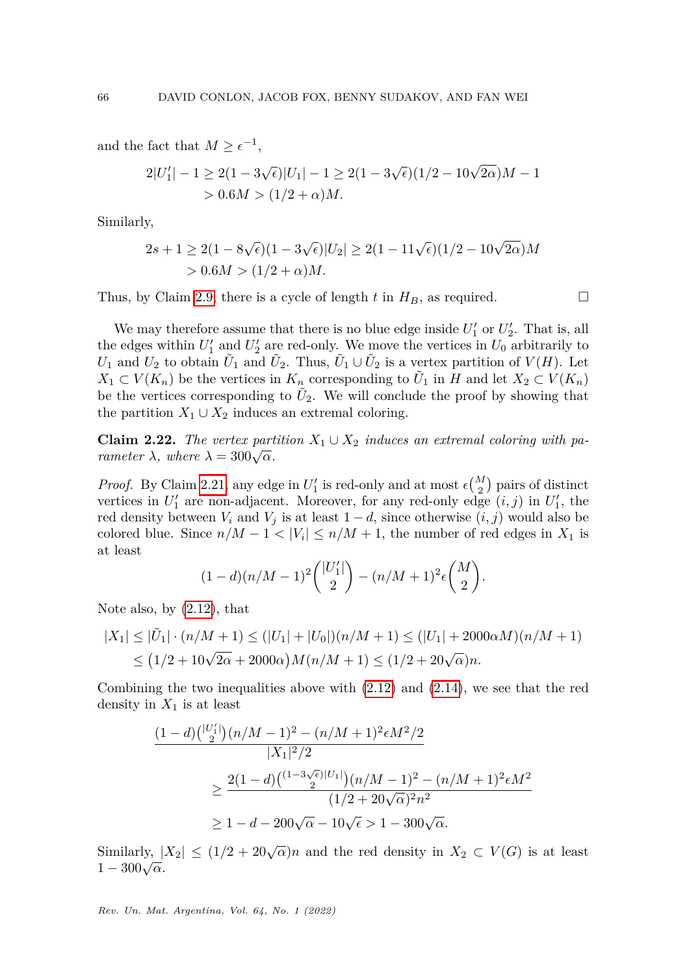and the fact that  $M \geq \epsilon^{-1}$ ,

$$
2|U'_1| - 1 \ge 2(1 - 3\sqrt{\epsilon})|U_1| - 1 \ge 2(1 - 3\sqrt{\epsilon})(1/2 - 10\sqrt{2\alpha})M - 1
$$
  
> 0.6M >  $(1/2 + \alpha)M$ .

Similarly,

$$
2s + 1 \ge 2(1 - 8\sqrt{\epsilon})(1 - 3\sqrt{\epsilon})|U_2| \ge 2(1 - 11\sqrt{\epsilon})(1/2 - 10\sqrt{2\alpha})M
$$
  
> 0.6M > (1/2 + \alpha)M.

Thus, by Claim [2.9,](#page-9-1) there is a cycle of length  $t$  in  $H_B$ , as required.

We may therefore assume that there is no blue edge inside  $U_1'$  or  $U_2'$ . That is, all the edges within  $U'_1$  and  $U'_2$  are red-only. We move the vertices in  $U_0$  arbitrarily to *U*<sub>1</sub> and *U*<sub>2</sub> to obtain  $\tilde{U}_1$  and  $\tilde{U}_2$ . Thus,  $\tilde{U}_1 \cup \tilde{U}_2$  is a vertex partition of *V*(*H*). Let *X*<sup>1</sup> ⊂ *V*(*K<sub>n</sub>*) be the vertices in *K<sub>n</sub>* corresponding to  $\tilde{U}_1$  in *H* and let *X*<sub>2</sub> ⊂ *V*(*K<sub>n</sub>*) be the vertices corresponding to  $\tilde{U}_2$ . We will conclude the proof by showing that the partition  $X_1 \cup X_2$  induces an extremal coloring.

**Claim 2.22.** The vertex partition  $X_1 \cup X_2$  induces an extremal coloring with pa*rameter*  $\lambda$ *, where*  $\lambda = 300\sqrt{\alpha}$ *.* 

*Proof.* By Claim [2.21,](#page-16-2) any edge in  $U'_1$  is red-only and at most  $\epsilon {M \choose 2}$  pairs of distinct vertices in  $U_1'$  are non-adjacent. Moreover, for any red-only edge  $(i, j)$  in  $U_1'$ , the red density between  $V_i$  and  $V_j$  is at least  $1 - d$ , since otherwise  $(i, j)$  would also be colored blue. Since  $n/M - 1 < |V_i| \le n/M + 1$ , the number of red edges in  $X_1$  is at least

$$
(1-d)(n/M-1)^2 \binom{|U'_1|}{2} - (n/M+1)^2 \epsilon \binom{M}{2}.
$$

Note also, by [\(2.12\)](#page-16-0), that

$$
|X_1| \leq |\tilde{U}_1| \cdot (n/M + 1) \leq (|U_1| + |U_0|)(n/M + 1) \leq (|U_1| + 2000\alpha M)(n/M + 1)
$$
  

$$
\leq (1/2 + 10\sqrt{2\alpha} + 2000\alpha)M(n/M + 1) \leq (1/2 + 20\sqrt{\alpha})n.
$$

Combining the two inequalities above with  $(2.12)$  and  $(2.14)$ , we see that the red density in  $X_1$  is at least

$$
\frac{(1-d)\binom{|U'_1|}{2}(n/M-1)^2 - (n/M+1)^2 \epsilon M^2/2}{|X_1|^2/2}
$$
  
\n
$$
\geq \frac{2(1-d)\binom{(1-3\sqrt{\epsilon})|U_1|}{2}(n/M-1)^2 - (n/M+1)^2 \epsilon M^2}{(1/2+20\sqrt{\alpha})^2 n^2}
$$
  
\n
$$
\geq 1-d-200\sqrt{\alpha}-10\sqrt{\epsilon} > 1-300\sqrt{\alpha}.
$$

Similarly,  $|X_2| \leq (1/2 + 20\sqrt{\alpha})n$  and the red density in  $X_2 \subset V(G)$  is at least  $1 - 300\sqrt{\alpha}$ .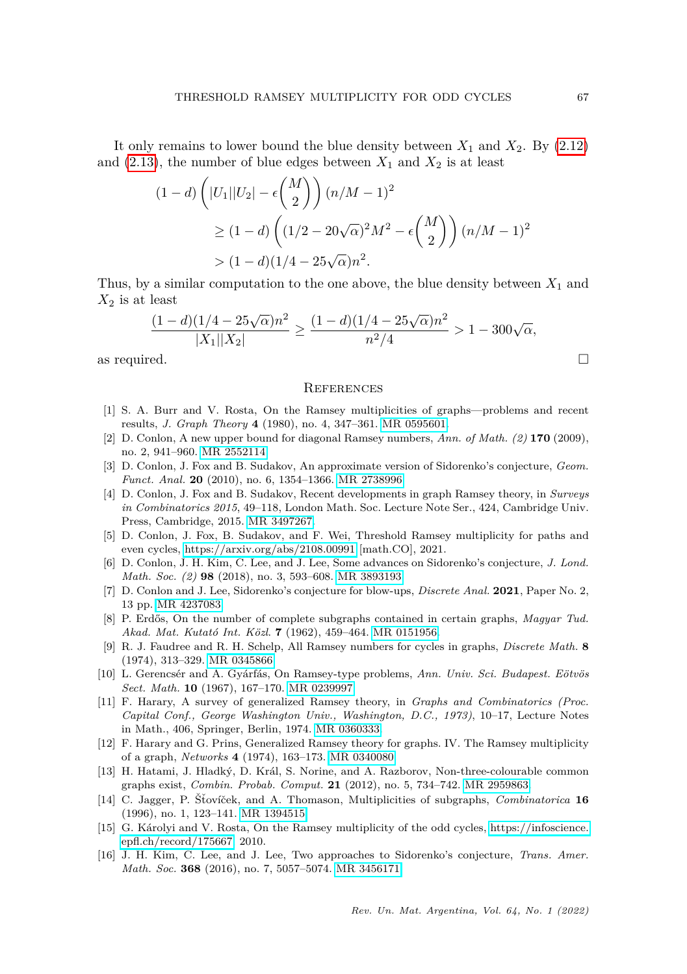It only remains to lower bound the blue density between *X*<sup>1</sup> and *X*2. By [\(2.12\)](#page-16-0) and  $(2.13)$ , the number of blue edges between  $X_1$  and  $X_2$  is at least

$$
(1-d)\left(|U_1||U_2| - \epsilon \binom{M}{2}\right)(n/M-1)^2
$$
  
\n
$$
\geq (1-d)\left((1/2 - 20\sqrt{\alpha})^2M^2 - \epsilon \binom{M}{2}\right)(n/M-1)^2
$$
  
\n
$$
> (1-d)(1/4 - 25\sqrt{\alpha})n^2.
$$

Thus, by a similar computation to the one above, the blue density between *X*<sup>1</sup> and  $X_2$  is at least

$$
\frac{(1-d)(1/4-25\sqrt{\alpha})n^2}{|X_1||X_2|} \ge \frac{(1-d)(1/4-25\sqrt{\alpha})n^2}{n^2/4} > 1-300\sqrt{\alpha},
$$

as required.  $\Box$ 

## **REFERENCES**

- <span id="page-18-4"></span>[1] S. A. Burr and V. Rosta, On the Ramsey multiplicities of graphs—problems and recent results, *J. Graph Theory* **4** (1980), no. 4, 347–361. [MR 0595601.](https://mathscinet.ams.org/mathscinet-getitem?mr=0595601)
- <span id="page-18-0"></span>[2] D. Conlon, A new upper bound for diagonal Ramsey numbers, *Ann. of Math. (2)* **170** (2009), no. 2, 941–960. [MR 2552114.](https://mathscinet.ams.org/mathscinet-getitem?mr=2552114)
- <span id="page-18-7"></span>[3] D. Conlon, J. Fox and B. Sudakov, An approximate version of Sidorenko's conjecture, *Geom. Funct. Anal.* **20** (2010), no. 6, 1354–1366. [MR 2738996.](https://mathscinet.ams.org/mathscinet-getitem?mr=2738996)
- <span id="page-18-11"></span>[4] D. Conlon, J. Fox and B. Sudakov, Recent developments in graph Ramsey theory, in *Surveys in Combinatorics 2015*, 49–118, London Math. Soc. Lecture Note Ser., 424, Cambridge Univ. Press, Cambridge, 2015. [MR 3497267.](https://mathscinet.ams.org/mathscinet-getitem?mr=3497267)
- <span id="page-18-12"></span>[5] D. Conlon, J. Fox, B. Sudakov, and F. Wei, Threshold Ramsey multiplicity for paths and even cycles,<https://arxiv.org/abs/2108.00991> [math.CO], 2021.
- <span id="page-18-8"></span>[6] D. Conlon, J. H. Kim, C. Lee, and J. Lee, Some advances on Sidorenko's conjecture, *J. Lond. Math. Soc. (2)* **98** (2018), no. 3, 593–608. [MR 3893193.](https://mathscinet.ams.org/mathscinet-getitem?mr=3893193)
- <span id="page-18-9"></span>[7] D. Conlon and J. Lee, Sidorenko's conjecture for blow-ups, *Discrete Anal.* **2021**, Paper No. 2, 13 pp. [MR 4237083.](https://mathscinet.ams.org/mathscinet-getitem?mr=4237083)
- <span id="page-18-3"></span>[8] P. Erdős, On the number of complete subgraphs contained in certain graphs, *Magyar Tud. Akad. Mat. Kutat´o Int. K¨ozl*. **7** (1962), 459–464. [MR 0151956.](https://mathscinet.ams.org/mathscinet-getitem?mr=0151956)
- <span id="page-18-2"></span>[9] R. J. Faudree and R. H. Schelp, All Ramsey numbers for cycles in graphs, *Discrete Math.* **8** (1974), 313–329. [MR 0345866.](https://mathscinet.ams.org/mathscinet-getitem?mr=0345866)
- <span id="page-18-1"></span>[10] L. Gerencsér and A. Gyárfás, On Ramsey-type problems, *Ann. Univ. Sci. Budapest. Eötvös Sect. Math.* **10** (1967), 167–170. [MR 0239997.](https://mathscinet.ams.org/mathscinet-getitem?mr=0239997)
- <span id="page-18-14"></span>[11] F. Harary, A survey of generalized Ramsey theory, in *Graphs and Combinatorics (Proc. Capital Conf., George Washington Univ., Washington, D.C., 1973)*, 10–17, Lecture Notes in Math., 406, Springer, Berlin, 1974. [MR 0360333.](https://mathscinet.ams.org/mathscinet-getitem?mr=0360333)
- <span id="page-18-13"></span>[12] F. Harary and G. Prins, Generalized Ramsey theory for graphs. IV. The Ramsey multiplicity of a graph, *Networks* **4** (1974), 163–173. [MR 0340080.](https://mathscinet.ams.org/mathscinet-getitem?mr=0340080)
- <span id="page-18-6"></span>[13] H. Hatami, J. Hladký, D. Král, S. Norine, and A. Razborov, Non-three-colourable common graphs exist, *Combin. Probab. Comput.* **21** (2012), no. 5, 734–742. [MR 2959863.](https://mathscinet.ams.org/mathscinet-getitem?mr=2959863)
- <span id="page-18-5"></span>[14] C. Jagger, P. Štovíček, and A. Thomason, Multiplicities of subgraphs, *Combinatorica* 16 (1996), no. 1, 123–141. [MR 1394515.](https://mathscinet.ams.org/mathscinet-getitem?mr=1394515)
- <span id="page-18-15"></span>[15] G. Károlyi and V. Rosta, On the Ramsey multiplicity of the odd cycles, [https://infoscience.](https://infoscience.epfl.ch/record/175667) [epfl.ch/record/175667,](https://infoscience.epfl.ch/record/175667) 2010.
- <span id="page-18-10"></span>[16] J. H. Kim, C. Lee, and J. Lee, Two approaches to Sidorenko's conjecture, *Trans. Amer. Math. Soc.* **368** (2016), no. 7, 5057–5074. [MR 3456171.](https://mathscinet.ams.org/mathscinet-getitem?mr=3456171)